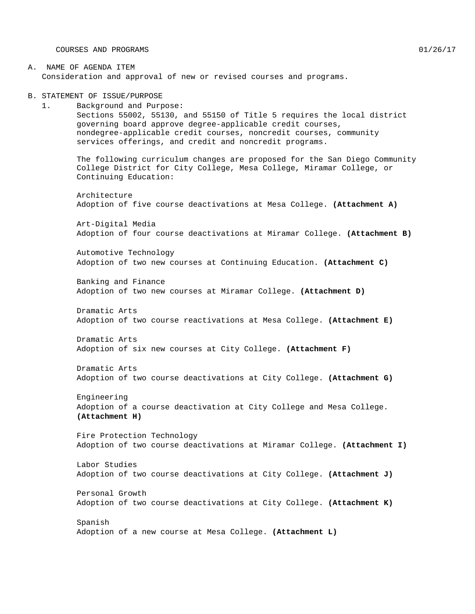COURSES AND PROGRAMS 01/26/17

#### A. NAME OF AGENDA ITEM Consideration and approval of new or revised courses and programs.

B. STATEMENT OF ISSUE/PURPOSE

1. Background and Purpose: Sections 55002, 55130, and 55150 of Title 5 requires the local district governing board approve degree-applicable credit courses, nondegree-applicable credit courses, noncredit courses, community services offerings, and credit and noncredit programs.

The following curriculum changes are proposed for the San Diego Community College District for City College, Mesa College, Miramar College, or Continuing Education:

Architecture Adoption of five course deactivations at Mesa College. **(Attachment A)**

Art-Digital Media Adoption of four course deactivations at Miramar College. **(Attachment B)**

Automotive Technology Adoption of two new courses at Continuing Education. **(Attachment C)**

Banking and Finance Adoption of two new courses at Miramar College. **(Attachment D)**

Dramatic Arts Adoption of two course reactivations at Mesa College. **(Attachment E)**

Dramatic Arts Adoption of six new courses at City College. **(Attachment F)**

Dramatic Arts Adoption of two course deactivations at City College. **(Attachment G)**

Engineering Adoption of a course deactivation at City College and Mesa College. **(Attachment H)**

Fire Protection Technology Adoption of two course deactivations at Miramar College. **(Attachment I)**

Labor Studies Adoption of two course deactivations at City College. **(Attachment J)**

Personal Growth Adoption of two course deactivations at City College. **(Attachment K)**

Spanish Adoption of a new course at Mesa College. **(Attachment L)**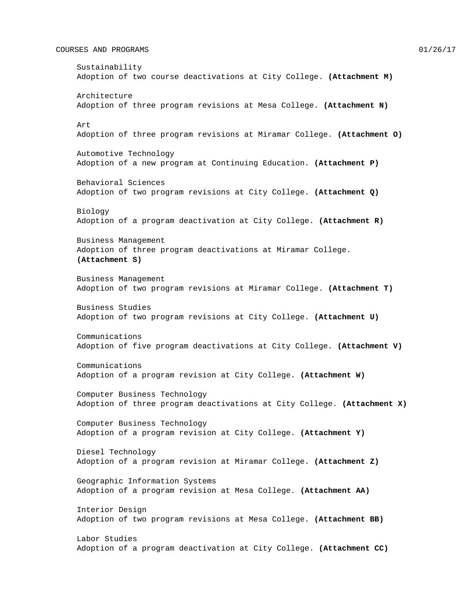#### COURSES AND PROGRAMS 01/26/17

Sustainability Adoption of two course deactivations at City College. **(Attachment M)** Architecture Adoption of three program revisions at Mesa College. **(Attachment N)** Art Adoption of three program revisions at Miramar College. **(Attachment O)** Automotive Technology Adoption of a new program at Continuing Education. **(Attachment P)** Behavioral Sciences Adoption of two program revisions at City College. **(Attachment Q)** Biology Adoption of a program deactivation at City College. **(Attachment R)** Business Management Adoption of three program deactivations at Miramar College. **(Attachment S)** Business Management Adoption of two program revisions at Miramar College. **(Attachment T)** Business Studies Adoption of two program revisions at City College. **(Attachment U)** Communications Adoption of five program deactivations at City College. **(Attachment V)** Communications Adoption of a program revision at City College. **(Attachment W)** Computer Business Technology Adoption of three program deactivations at City College. **(Attachment X)** Computer Business Technology Adoption of a program revision at City College. **(Attachment Y)** Diesel Technology Adoption of a program revision at Miramar College. **(Attachment Z)** Geographic Information Systems Adoption of a program revision at Mesa College. **(Attachment AA)** Interior Design Adoption of two program revisions at Mesa College. **(Attachment BB)** Labor Studies Adoption of a program deactivation at City College. **(Attachment CC)**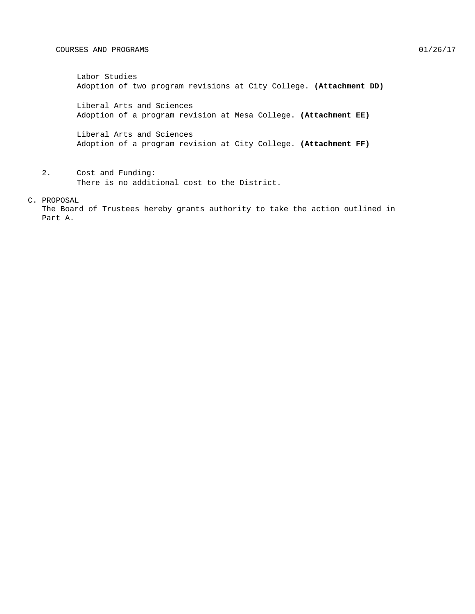Labor Studies Adoption of two program revisions at City College. **(Attachment DD)**

Liberal Arts and Sciences Adoption of a program revision at Mesa College. **(Attachment EE)**

Liberal Arts and Sciences Adoption of a program revision at City College. **(Attachment FF)**

2. Cost and Funding: There is no additional cost to the District.

C. PROPOSAL

The Board of Trustees hereby grants authority to take the action outlined in Part A.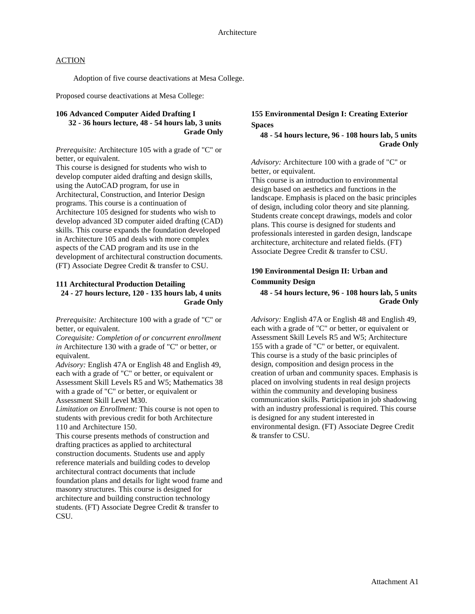Adoption of five course deactivations at Mesa College.

Proposed course deactivations at Mesa College:

#### **106 Advanced Computer Aided Drafting I 32 - 36 hours lecture, 48 - 54 hours lab, 3 units Grade Only**

*Prerequisite:* Architecture 105 with a grade of "C" or better, or equivalent.

This course is designed for students who wish to develop computer aided drafting and design skills, using the AutoCAD program, for use in Architectural, Construction, and Interior Design programs. This course is a continuation of Architecture 105 designed for students who wish to develop advanced 3D computer aided drafting (CAD) skills. This course expands the foundation developed in Architecture 105 and deals with more complex aspects of the CAD program and its use in the development of architectural construction documents. (FT) Associate Degree Credit & transfer to CSU.

#### **111 Architectural Production Detailing 24 - 27 hours lecture, 120 - 135 hours lab, 4 units Grade Only**

*Prerequisite:* Architecture 100 with a grade of "C" or better, or equivalent.

*Corequisite: Completion of or concurrent enrollment in* Architecture 130 with a grade of "C" or better, or equivalent.

*Advisory:* English 47A or English 48 and English 49, each with a grade of "C" or better, or equivalent or Assessment Skill Levels R5 and W5; Mathematics 38 with a grade of "C" or better, or equivalent or Assessment Skill Level M30.

*Limitation on Enrollment:* This course is not open to students with previous credit for both Architecture 110 and Architecture 150.

This course presents methods of construction and drafting practices as applied to architectural construction documents. Students use and apply reference materials and building codes to develop architectural contract documents that include foundation plans and details for light wood frame and masonry structures. This course is designed for architecture and building construction technology students. (FT) Associate Degree Credit & transfer to CSU.

## **155 Environmental Design I: Creating Exterior Spaces**

#### **48 - 54 hours lecture, 96 - 108 hours lab, 5 units Grade Only**

*Advisory:* Architecture 100 with a grade of "C" or better, or equivalent.

This course is an introduction to environmental design based on aesthetics and functions in the landscape. Emphasis is placed on the basic principles of design, including color theory and site planning. Students create concept drawings, models and color plans. This course is designed for students and professionals interested in garden design, landscape architecture, architecture and related fields. (FT) Associate Degree Credit & transfer to CSU.

## **190 Environmental Design II: Urban and Community Design**

#### **48 - 54 hours lecture, 96 - 108 hours lab, 5 units Grade Only**

*Advisory:* English 47A or English 48 and English 49, each with a grade of "C" or better, or equivalent or Assessment Skill Levels R5 and W5; Architecture 155 with a grade of "C" or better, or equivalent. This course is a study of the basic principles of design, composition and design process in the creation of urban and community spaces. Emphasis is placed on involving students in real design projects within the community and developing business communication skills. Participation in job shadowing with an industry professional is required. This course is designed for any student interested in environmental design. (FT) Associate Degree Credit & transfer to CSU.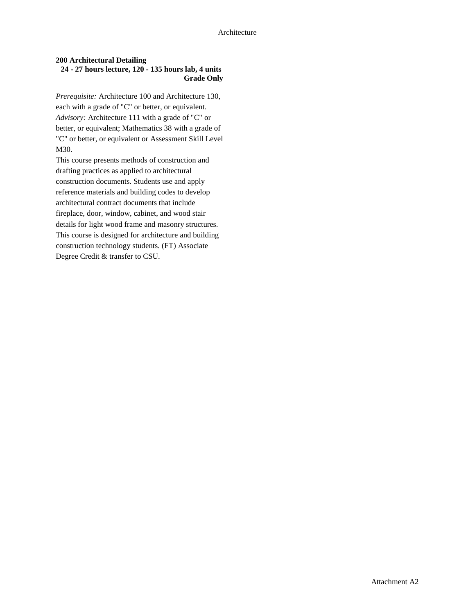#### **200 Architectural Detailing 24 - 27 hours lecture, 120 - 135 hours lab, 4 units Grade Only**

*Prerequisite:* Architecture 100 and Architecture 130, each with a grade of "C" or better, or equivalent. *Advisory:* Architecture 111 with a grade of "C" or better, or equivalent; Mathematics 38 with a grade of "C" or better, or equivalent or Assessment Skill Level M30.

This course presents methods of construction and drafting practices as applied to architectural construction documents. Students use and apply reference materials and building codes to develop architectural contract documents that include fireplace, door, window, cabinet, and wood stair details for light wood frame and masonry structures. This course is designed for architecture and building construction technology students. (FT) Associate Degree Credit & transfer to CSU.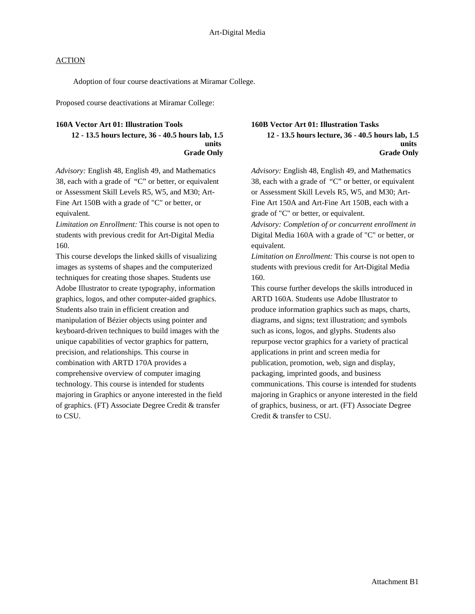Adoption of four course deactivations at Miramar College.

Proposed course deactivations at Miramar College:

#### **160A Vector Art 01: Illustration Tools**

**12 - 13.5 hours lecture, 36 - 40.5 hours lab, 1.5 units Grade Only**

*Advisory:* English 48, English 49, and Mathematics 38, each with a grade of "C" or better, or equivalent or Assessment Skill Levels R5, W5, and M30; Art-Fine Art 150B with a grade of "C" or better, or equivalent.

*Limitation on Enrollment:* This course is not open to students with previous credit for Art-Digital Media 160.

This course develops the linked skills of visualizing images as systems of shapes and the computerized techniques for creating those shapes. Students use Adobe Illustrator to create typography, information graphics, logos, and other computer-aided graphics. Students also train in efficient creation and manipulation of Bézier objects using pointer and keyboard-driven techniques to build images with the unique capabilities of vector graphics for pattern, precision, and relationships. This course in combination with ARTD 170A provides a comprehensive overview of computer imaging technology. This course is intended for students majoring in Graphics or anyone interested in the field of graphics. (FT) Associate Degree Credit & transfer to CSU.

# **160B Vector Art 01: Illustration Tasks**

**12 - 13.5 hours lecture, 36 - 40.5 hours lab, 1.5 units Grade Only**

*Advisory:* English 48, English 49, and Mathematics 38, each with a grade of "C" or better, or equivalent or Assessment Skill Levels R5, W5, and M30; Art-Fine Art 150A and Art-Fine Art 150B, each with a grade of "C" or better, or equivalent.

*Advisory: Completion of or concurrent enrollment in*  Digital Media 160A with a grade of "C" or better, or equivalent.

*Limitation on Enrollment:* This course is not open to students with previous credit for Art-Digital Media 160.

This course further develops the skills introduced in ARTD 160A. Students use Adobe Illustrator to produce information graphics such as maps, charts, diagrams, and signs; text illustration; and symbols such as icons, logos, and glyphs. Students also repurpose vector graphics for a variety of practical applications in print and screen media for publication, promotion, web, sign and display, packaging, imprinted goods, and business communications. This course is intended for students majoring in Graphics or anyone interested in the field of graphics, business, or art. (FT) Associate Degree Credit & transfer to CSU.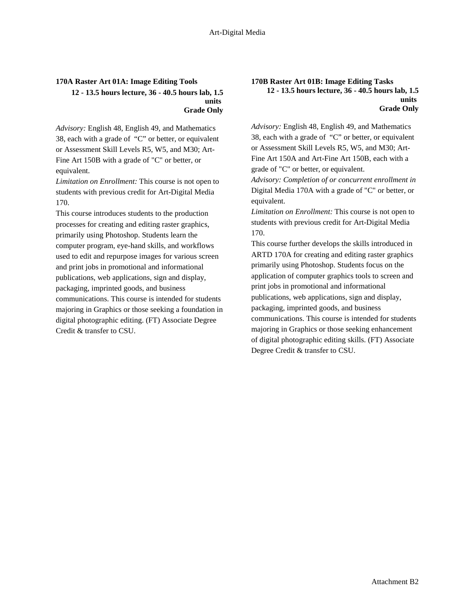### **170A Raster Art 01A: Image Editing Tools 12 - 13.5 hours lecture, 36 - 40.5 hours lab, 1.5 units Grade Only**

*Advisory:* English 48, English 49, and Mathematics 38, each with a grade of "C" or better, or equivalent or Assessment Skill Levels R5, W5, and M30; Art-Fine Art 150B with a grade of "C" or better, or equivalent.

*Limitation on Enrollment:* This course is not open to students with previous credit for Art-Digital Media 170.

This course introduces students to the production processes for creating and editing raster graphics, primarily using Photoshop. Students learn the computer program, eye-hand skills, and workflows used to edit and repurpose images for various screen and print jobs in promotional and informational publications, web applications, sign and display, packaging, imprinted goods, and business communications. This course is intended for students majoring in Graphics or those seeking a foundation in digital photographic editing. (FT) Associate Degree Credit & transfer to CSU.

### **170B Raster Art 01B: Image Editing Tasks 12 - 13.5 hours lecture, 36 - 40.5 hours lab, 1.5 units Grade Only**

*Advisory:* English 48, English 49, and Mathematics 38, each with a grade of "C" or better, or equivalent or Assessment Skill Levels R5, W5, and M30; Art-Fine Art 150A and Art-Fine Art 150B, each with a grade of "C" or better, or equivalent.

*Advisory: Completion of or concurrent enrollment in*  Digital Media 170A with a grade of "C" or better, or equivalent.

*Limitation on Enrollment:* This course is not open to students with previous credit for Art-Digital Media 170.

This course further develops the skills introduced in ARTD 170A for creating and editing raster graphics primarily using Photoshop. Students focus on the application of computer graphics tools to screen and print jobs in promotional and informational publications, web applications, sign and display, packaging, imprinted goods, and business communications. This course is intended for students majoring in Graphics or those seeking enhancement of digital photographic editing skills. (FT) Associate Degree Credit & transfer to CSU.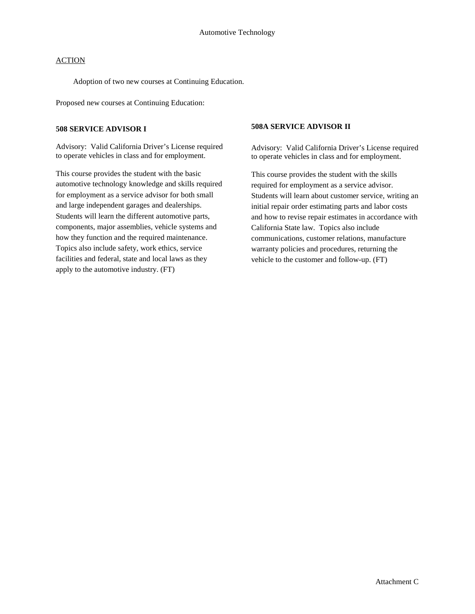Adoption of two new courses at Continuing Education.

Proposed new courses at Continuing Education:

#### **508 SERVICE ADVISOR I**

Advisory: Valid California Driver's License required to operate vehicles in class and for employment.

This course provides the student with the basic automotive technology knowledge and skills required for employment as a service advisor for both small and large independent garages and dealerships. Students will learn the different automotive parts, components, major assemblies, vehicle systems and how they function and the required maintenance. Topics also include safety, work ethics, service facilities and federal, state and local laws as they apply to the automotive industry. (FT)

#### **508A SERVICE ADVISOR II**

Advisory: Valid California Driver's License required to operate vehicles in class and for employment.

This course provides the student with the skills required for employment as a service advisor. Students will learn about customer service, writing an initial repair order estimating parts and labor costs and how to revise repair estimates in accordance with California State law. Topics also include communications, customer relations, manufacture warranty policies and procedures, returning the vehicle to the customer and follow-up. (FT)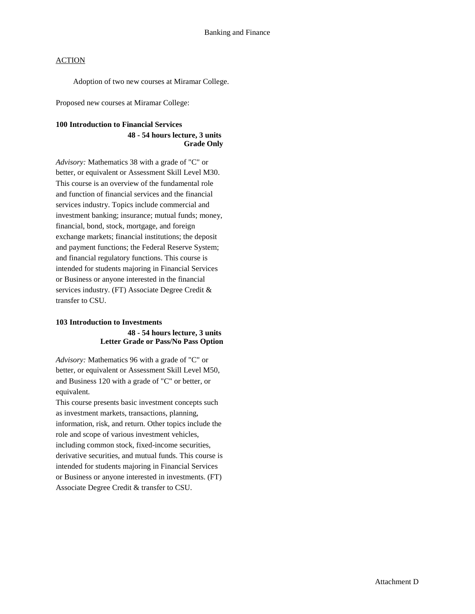Adoption of two new courses at Miramar College.

Proposed new courses at Miramar College:

#### **100 Introduction to Financial Services**

### **48 - 54 hours lecture, 3 units Grade Only**

*Advisory:* Mathematics 38 with a grade of "C" or better, or equivalent or Assessment Skill Level M30. This course is an overview of the fundamental role and function of financial services and the financial services industry. Topics include commercial and investment banking; insurance; mutual funds; money, financial, bond, stock, mortgage, and foreign exchange markets; financial institutions; the deposit and payment functions; the Federal Reserve System; and financial regulatory functions. This course is intended for students majoring in Financial Services or Business or anyone interested in the financial services industry. (FT) Associate Degree Credit & transfer to CSU.

## **103 Introduction to Investments 48 - 54 hours lecture, 3 units Letter Grade or Pass/No Pass Option**

*Advisory:* Mathematics 96 with a grade of "C" or better, or equivalent or Assessment Skill Level M50, and Business 120 with a grade of "C" or better, or equivalent.

This course presents basic investment concepts such as investment markets, transactions, planning, information, risk, and return. Other topics include the role and scope of various investment vehicles, including common stock, fixed-income securities, derivative securities, and mutual funds. This course is intended for students majoring in Financial Services or Business or anyone interested in investments. (FT) Associate Degree Credit & transfer to CSU.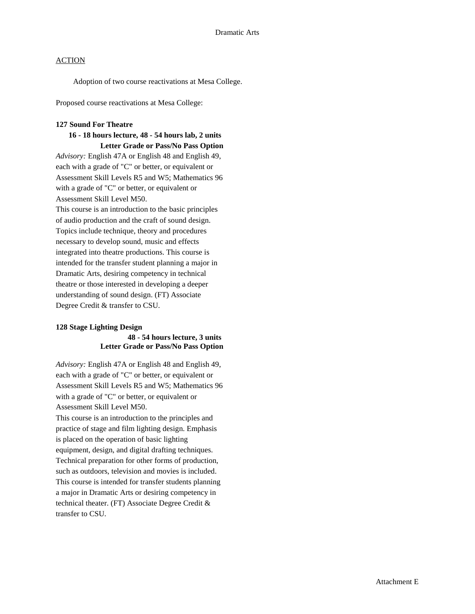Adoption of two course reactivations at Mesa College.

Proposed course reactivations at Mesa College:

#### **127 Sound For Theatre**

### **16 - 18 hours lecture, 48 - 54 hours lab, 2 units Letter Grade or Pass/No Pass Option**

*Advisory:* English 47A or English 48 and English 49, each with a grade of "C" or better, or equivalent or Assessment Skill Levels R5 and W5; Mathematics 96 with a grade of "C" or better, or equivalent or Assessment Skill Level M50.

This course is an introduction to the basic principles of audio production and the craft of sound design. Topics include technique, theory and procedures necessary to develop sound, music and effects integrated into theatre productions. This course is intended for the transfer student planning a major in Dramatic Arts, desiring competency in technical theatre or those interested in developing a deeper understanding of sound design. (FT) Associate Degree Credit & transfer to CSU.

#### **128 Stage Lighting Design**

### **48 - 54 hours lecture, 3 units Letter Grade or Pass/No Pass Option**

*Advisory:* English 47A or English 48 and English 49, each with a grade of "C" or better, or equivalent or Assessment Skill Levels R5 and W5; Mathematics 96 with a grade of "C" or better, or equivalent or Assessment Skill Level M50.

This course is an introduction to the principles and practice of stage and film lighting design. Emphasis is placed on the operation of basic lighting equipment, design, and digital drafting techniques. Technical preparation for other forms of production, such as outdoors, television and movies is included. This course is intended for transfer students planning a major in Dramatic Arts or desiring competency in technical theater. (FT) Associate Degree Credit & transfer to CSU.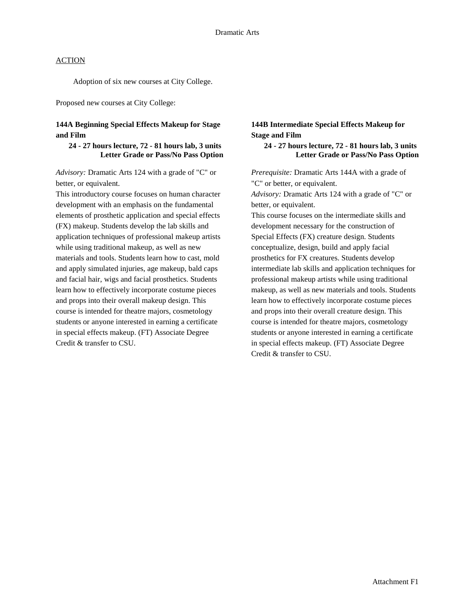Adoption of six new courses at City College.

Proposed new courses at City College:

## **144A Beginning Special Effects Makeup for Stage and Film**

### **24 - 27 hours lecture, 72 - 81 hours lab, 3 units Letter Grade or Pass/No Pass Option**

*Advisory:* Dramatic Arts 124 with a grade of "C" or better, or equivalent.

This introductory course focuses on human character development with an emphasis on the fundamental elements of prosthetic application and special effects (FX) makeup. Students develop the lab skills and application techniques of professional makeup artists while using traditional makeup, as well as new materials and tools. Students learn how to cast, mold and apply simulated injuries, age makeup, bald caps and facial hair, wigs and facial prosthetics. Students learn how to effectively incorporate costume pieces and props into their overall makeup design. This course is intended for theatre majors, cosmetology students or anyone interested in earning a certificate in special effects makeup. (FT) Associate Degree Credit & transfer to CSU.

## **144B Intermediate Special Effects Makeup for Stage and Film**

#### **24 - 27 hours lecture, 72 - 81 hours lab, 3 units Letter Grade or Pass/No Pass Option**

*Prerequisite:* Dramatic Arts 144A with a grade of "C" or better, or equivalent.

*Advisory:* Dramatic Arts 124 with a grade of "C" or better, or equivalent.

This course focuses on the intermediate skills and development necessary for the construction of Special Effects (FX) creature design. Students conceptualize, design, build and apply facial prosthetics for FX creatures. Students develop intermediate lab skills and application techniques for professional makeup artists while using traditional makeup, as well as new materials and tools. Students learn how to effectively incorporate costume pieces and props into their overall creature design. This course is intended for theatre majors, cosmetology students or anyone interested in earning a certificate in special effects makeup. (FT) Associate Degree Credit & transfer to CSU.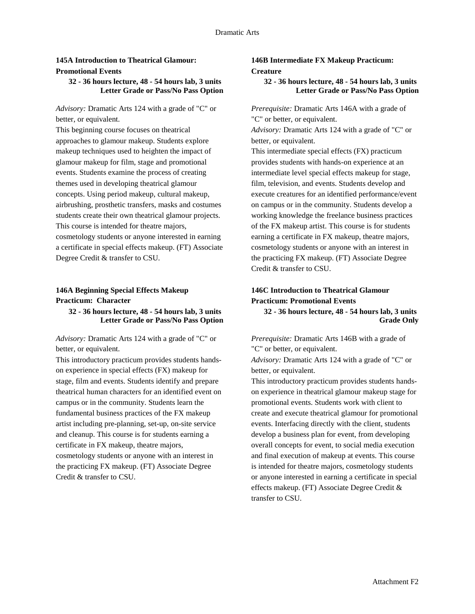## **145A Introduction to Theatrical Glamour: Promotional Events**

#### **32 - 36 hours lecture, 48 - 54 hours lab, 3 units Letter Grade or Pass/No Pass Option**

*Advisory:* Dramatic Arts 124 with a grade of "C" or better, or equivalent.

This beginning course focuses on theatrical approaches to glamour makeup. Students explore makeup techniques used to heighten the impact of glamour makeup for film, stage and promotional events. Students examine the process of creating themes used in developing theatrical glamour concepts. Using period makeup, cultural makeup, airbrushing, prosthetic transfers, masks and costumes students create their own theatrical glamour projects. This course is intended for theatre majors, cosmetology students or anyone interested in earning a certificate in special effects makeup. (FT) Associate Degree Credit & transfer to CSU.

## **146A Beginning Special Effects Makeup Practicum: Character**

### **32 - 36 hours lecture, 48 - 54 hours lab, 3 units Letter Grade or Pass/No Pass Option**

*Advisory:* Dramatic Arts 124 with a grade of "C" or better, or equivalent.

This introductory practicum provides students handson experience in special effects (FX) makeup for stage, film and events. Students identify and prepare theatrical human characters for an identified event on campus or in the community. Students learn the fundamental business practices of the FX makeup artist including pre-planning, set-up, on-site service and cleanup. This course is for students earning a certificate in FX makeup, theatre majors, cosmetology students or anyone with an interest in the practicing FX makeup. (FT) Associate Degree Credit & transfer to CSU.

## **146B Intermediate FX Makeup Practicum: Creature**

#### **32 - 36 hours lecture, 48 - 54 hours lab, 3 units Letter Grade or Pass/No Pass Option**

*Prerequisite:* Dramatic Arts 146A with a grade of "C" or better, or equivalent.

*Advisory:* Dramatic Arts 124 with a grade of "C" or better, or equivalent.

This intermediate special effects (FX) practicum provides students with hands-on experience at an intermediate level special effects makeup for stage, film, television, and events. Students develop and execute creatures for an identified performance/event on campus or in the community. Students develop a working knowledge the freelance business practices of the FX makeup artist. This course is for students earning a certificate in FX makeup, theatre majors, cosmetology students or anyone with an interest in the practicing FX makeup. (FT) Associate Degree Credit & transfer to CSU.

## **146C Introduction to Theatrical Glamour Practicum: Promotional Events**

**32 - 36 hours lecture, 48 - 54 hours lab, 3 units Grade Only**

*Prerequisite:* Dramatic Arts 146B with a grade of "C" or better, or equivalent.

*Advisory:* Dramatic Arts 124 with a grade of "C" or better, or equivalent.

This introductory practicum provides students handson experience in theatrical glamour makeup stage for promotional events. Students work with client to create and execute theatrical glamour for promotional events. Interfacing directly with the client, students develop a business plan for event, from developing overall concepts for event, to social media execution and final execution of makeup at events. This course is intended for theatre majors, cosmetology students or anyone interested in earning a certificate in special effects makeup. (FT) Associate Degree Credit & transfer to CSU.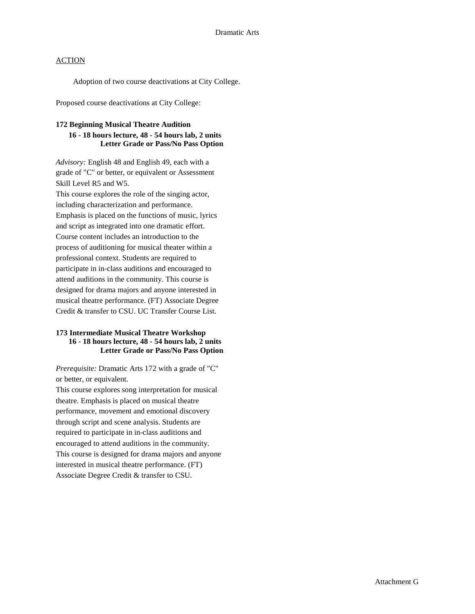Adoption of two course deactivations at City College.

Proposed course deactivations at City College:

#### **172 Beginning Musical Theatre Audition**

### **16 - 18 hours lecture, 48 - 54 hours lab, 2 units Letter Grade or Pass/No Pass Option**

*Advisory:* English 48 and English 49, each with a grade of "C" or better, or equivalent or Assessment Skill Level R5 and W5.

This course explores the role of the singing actor, including characterization and performance. Emphasis is placed on the functions of music, lyrics and script as integrated into one dramatic effort. Course content includes an introduction to the process of auditioning for musical theater within a professional context. Students are required to participate in in-class auditions and encouraged to attend auditions in the community. This course is designed for drama majors and anyone interested in musical theatre performance. (FT) Associate Degree Credit & transfer to CSU. UC Transfer Course List.

## **173 Intermediate Musical Theatre Workshop 16 - 18 hours lecture, 48 - 54 hours lab, 2 units Letter Grade or Pass/No Pass Option**

*Prerequisite:* Dramatic Arts 172 with a grade of "C" or better, or equivalent.

This course explores song interpretation for musical theatre. Emphasis is placed on musical theatre performance, movement and emotional discovery through script and scene analysis. Students are required to participate in in-class auditions and encouraged to attend auditions in the community. This course is designed for drama majors and anyone interested in musical theatre performance. (FT) Associate Degree Credit & transfer to CSU.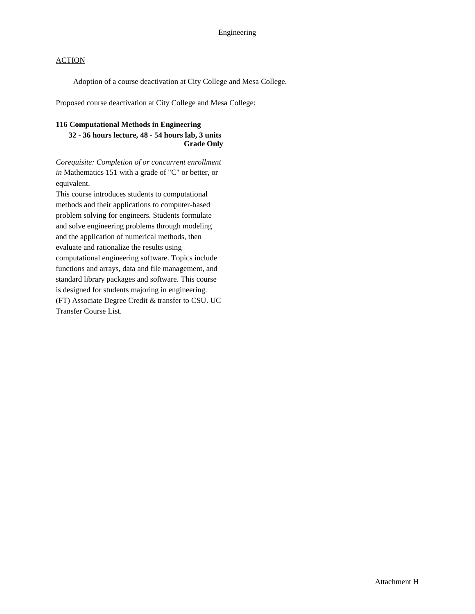Adoption of a course deactivation at City College and Mesa College.

Proposed course deactivation at City College and Mesa College:

#### **116 Computational Methods in Engineering**

### **32 - 36 hours lecture, 48 - 54 hours lab, 3 units Grade Only**

*Corequisite: Completion of or concurrent enrollment in* Mathematics 151 with a grade of "C" or better, or equivalent.

This course introduces students to computational methods and their applications to computer-based problem solving for engineers. Students formulate and solve engineering problems through modeling and the application of numerical methods, then evaluate and rationalize the results using computational engineering software. Topics include functions and arrays, data and file management, and standard library packages and software. This course is designed for students majoring in engineering. (FT) Associate Degree Credit & transfer to CSU. UC Transfer Course List.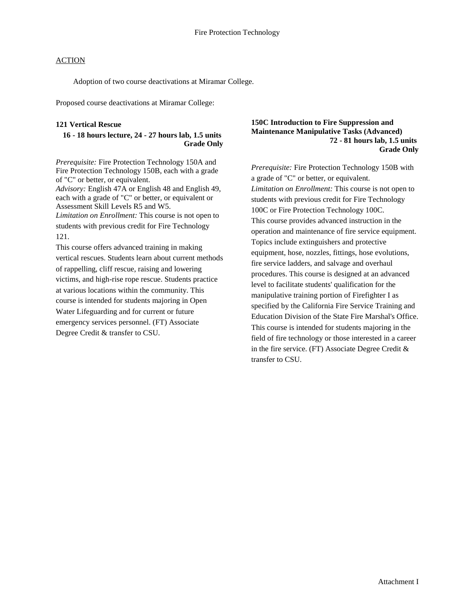Adoption of two course deactivations at Miramar College.

Proposed course deactivations at Miramar College:

### **121 Vertical Rescue**

### **16 - 18 hours lecture, 24 - 27 hours lab, 1.5 units Grade Only**

*Prerequisite:* Fire Protection Technology 150A and Fire Protection Technology 150B, each with a grade of "C" or better, or equivalent. *Advisory:* English 47A or English 48 and English 49, each with a grade of "C" or better, or equivalent or Assessment Skill Levels R5 and W5. *Limitation on Enrollment:* This course is not open to students with previous credit for Fire Technology 121.

This course offers advanced training in making vertical rescues. Students learn about current methods of rappelling, cliff rescue, raising and lowering victims, and high-rise rope rescue. Students practice at various locations within the community. This course is intended for students majoring in Open Water Lifeguarding and for current or future emergency services personnel. (FT) Associate Degree Credit & transfer to CSU.

#### **150C Introduction to Fire Suppression and Maintenance Manipulative Tasks (Advanced) 72 - 81 hours lab, 1.5 units Grade Only**

*Prerequisite:* Fire Protection Technology 150B with a grade of "C" or better, or equivalent. *Limitation on Enrollment:* This course is not open to students with previous credit for Fire Technology 100C or Fire Protection Technology 100C. This course provides advanced instruction in the operation and maintenance of fire service equipment. Topics include extinguishers and protective equipment, hose, nozzles, fittings, hose evolutions, fire service ladders, and salvage and overhaul procedures. This course is designed at an advanced level to facilitate students' qualification for the manipulative training portion of Firefighter I as specified by the California Fire Service Training and Education Division of the State Fire Marshal's Office. This course is intended for students majoring in the field of fire technology or those interested in a career in the fire service. (FT) Associate Degree Credit & transfer to CSU.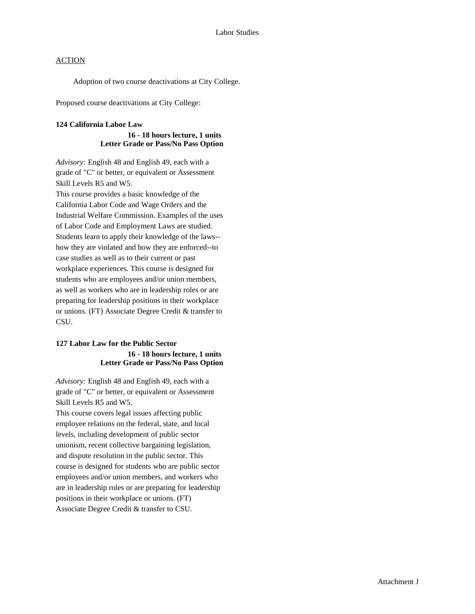Adoption of two course deactivations at City College.

Proposed course deactivations at City College:

#### **124 California Labor Law**

#### **16 - 18 hours lecture, 1 units Letter Grade or Pass/No Pass Option**

*Advisory:* English 48 and English 49, each with a grade of "C" or better, or equivalent or Assessment Skill Levels R5 and W5.

This course provides a basic knowledge of the California Labor Code and Wage Orders and the Industrial Welfare Commission. Examples of the uses of Labor Code and Employment Laws are studied. Students learn to apply their knowledge of the laws- how they are violated and how they are enforced--to case studies as well as to their current or past workplace experiences. This course is designed for students who are employees and/or union members, as well as workers who are in leadership roles or are preparing for leadership positions in their workplace or unions. (FT) Associate Degree Credit & transfer to CSU.

## **127 Labor Law for the Public Sector 16 - 18 hours lecture, 1 units Letter Grade or Pass/No Pass Option**

*Advisory:* English 48 and English 49, each with a grade of "C" or better, or equivalent or Assessment Skill Levels R5 and W5.

This course covers legal issues affecting public employee relations on the federal, state, and local levels, including development of public sector unionism, recent collective bargaining legislation, and dispute resolution in the public sector. This course is designed for students who are public sector employees and/or union members, and workers who are in leadership roles or are preparing for leadership positions in their workplace or unions. (FT) Associate Degree Credit & transfer to CSU.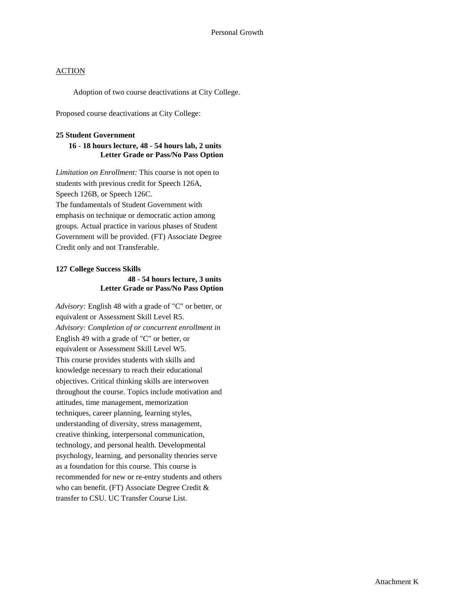Adoption of two course deactivations at City College.

Proposed course deactivations at City College:

#### **25 Student Government**

## **16 - 18 hours lecture, 48 - 54 hours lab, 2 units Letter Grade or Pass/No Pass Option**

*Limitation on Enrollment:* This course is not open to students with previous credit for Speech 126A, Speech 126B, or Speech 126C. The fundamentals of Student Government with emphasis on technique or democratic action among groups. Actual practice in various phases of Student Government will be provided. (FT) Associate Degree Credit only and not Transferable.

## **127 College Success Skills 48 - 54 hours lecture, 3 units Letter Grade or Pass/No Pass Option**

*Advisory:* English 48 with a grade of "C" or better, or equivalent or Assessment Skill Level R5. *Advisory: Completion of or concurrent enrollment in*  English 49 with a grade of "C" or better, or equivalent or Assessment Skill Level W5. This course provides students with skills and knowledge necessary to reach their educational objectives. Critical thinking skills are interwoven throughout the course. Topics include motivation and attitudes, time management, memorization techniques, career planning, learning styles, understanding of diversity, stress management, creative thinking, interpersonal communication, technology, and personal health. Developmental psychology, learning, and personality theories serve as a foundation for this course. This course is recommended for new or re-entry students and others who can benefit. (FT) Associate Degree Credit & transfer to CSU. UC Transfer Course List.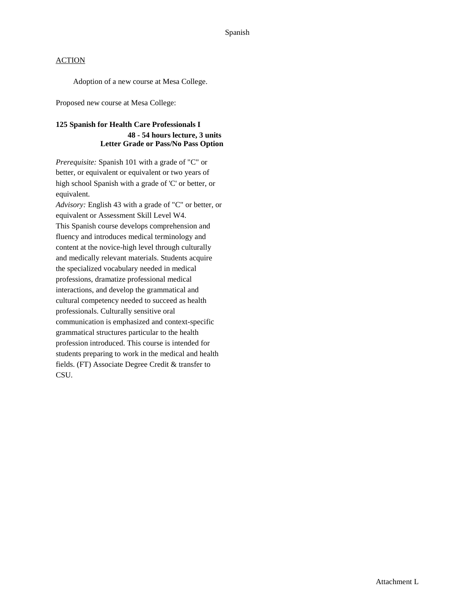Adoption of a new course at Mesa College.

Proposed new course at Mesa College:

## **125 Spanish for Health Care Professionals I 48 - 54 hours lecture, 3 units Letter Grade or Pass/No Pass Option**

*Prerequisite:* Spanish 101 with a grade of "C" or better, or equivalent or equivalent or two years of high school Spanish with a grade of 'C' or better, or equivalent.

*Advisory:* English 43 with a grade of "C" or better, or equivalent or Assessment Skill Level W4. This Spanish course develops comprehension and fluency and introduces medical terminology and content at the novice-high level through culturally and medically relevant materials. Students acquire the specialized vocabulary needed in medical professions, dramatize professional medical interactions, and develop the grammatical and cultural competency needed to succeed as health professionals. Culturally sensitive oral communication is emphasized and context-specific grammatical structures particular to the health profession introduced. This course is intended for students preparing to work in the medical and health fields. (FT) Associate Degree Credit & transfer to CSU.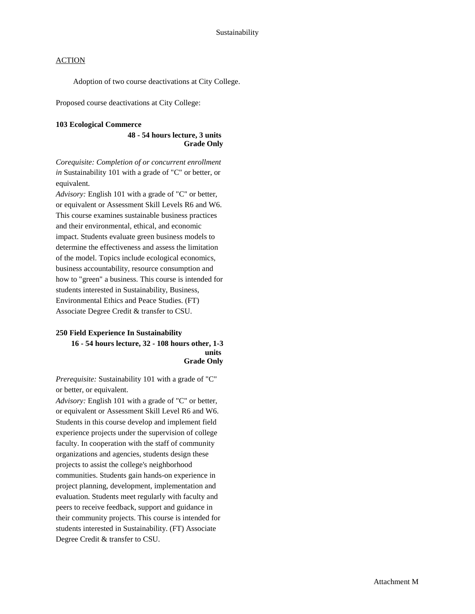Adoption of two course deactivations at City College.

Proposed course deactivations at City College:

#### **103 Ecological Commerce**

#### **48 - 54 hours lecture, 3 units Grade Only**

*Corequisite: Completion of or concurrent enrollment in* Sustainability 101 with a grade of "C" or better, or equivalent.

*Advisory:* English 101 with a grade of "C" or better, or equivalent or Assessment Skill Levels R6 and W6. This course examines sustainable business practices and their environmental, ethical, and economic impact. Students evaluate green business models to determine the effectiveness and assess the limitation of the model. Topics include ecological economics, business accountability, resource consumption and how to "green" a business. This course is intended for students interested in Sustainability, Business, Environmental Ethics and Peace Studies. (FT) Associate Degree Credit & transfer to CSU.

## **250 Field Experience In Sustainability 16 - 54 hours lecture, 32 - 108 hours other, 1-3 units Grade Only**

*Prerequisite:* Sustainability 101 with a grade of "C" or better, or equivalent.

*Advisory:* English 101 with a grade of "C" or better, or equivalent or Assessment Skill Level R6 and W6. Students in this course develop and implement field experience projects under the supervision of college faculty. In cooperation with the staff of community organizations and agencies, students design these projects to assist the college's neighborhood communities. Students gain hands-on experience in project planning, development, implementation and evaluation. Students meet regularly with faculty and peers to receive feedback, support and guidance in their community projects. This course is intended for students interested in Sustainability. (FT) Associate Degree Credit & transfer to CSU.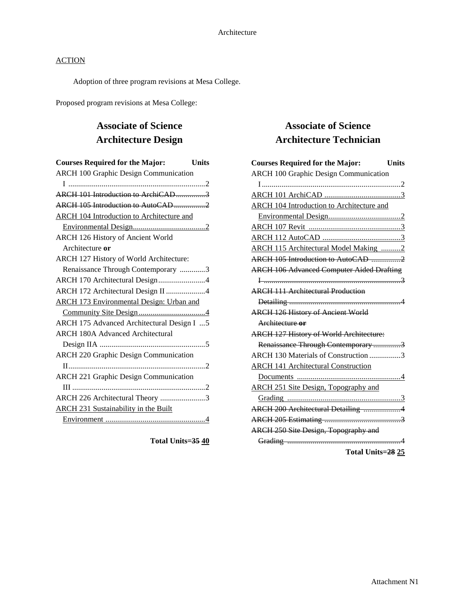Adoption of three program revisions at Mesa College.

Proposed program revisions at Mesa College:

# **Associate of Science Architecture Design**

| <b>Courses Required for the Major:</b><br>Units  |
|--------------------------------------------------|
| <b>ARCH 100 Graphic Design Communication</b>     |
| I ……………………………………………………………2                       |
| ARCH 101 Introduction to ArchiCAD3               |
| ARCH 105 Introduction to AutoCAD2                |
| <b>ARCH 104 Introduction to Architecture and</b> |
|                                                  |
| ARCH 126 History of Ancient World                |
| Architecture or                                  |
| ARCH 127 History of World Architecture:          |
| Renaissance Through Contemporary 3               |
| ARCH 170 Architectural Design4                   |
| ARCH 172 Architectural Design II 4               |
| <b>ARCH 173 Environmental Design: Urban and</b>  |
|                                                  |
| ARCH 175 Advanced Architectural Design I  5      |
| <b>ARCH 180A Advanced Architectural</b>          |
|                                                  |
| <b>ARCH 220 Graphic Design Communication</b>     |
|                                                  |
| <b>ARCH 221 Graphic Design Communication</b>     |
|                                                  |
| ARCH 226 Architectural Theory 3                  |
| <b>ARCH 231 Sustainability in the Built</b>      |
|                                                  |

**Total Units=35 40**

## **Associate of Science Architecture Technician**

| <b>Courses Required for the Major:</b>           | <b>Units</b> |
|--------------------------------------------------|--------------|
| <b>ARCH 100 Graphic Design Communication</b>     |              |
|                                                  |              |
|                                                  |              |
| <b>ARCH 104 Introduction to Architecture and</b> |              |
|                                                  |              |
|                                                  |              |
|                                                  |              |
| ARCH 115 Architectural Model Making 2            |              |
| ARCH 105 Introduction to AutoCAD 2               |              |
| <b>ARCH 106 Advanced Computer Aided Drafting</b> |              |
|                                                  |              |
| <b>ARCH 111 Architectural Production</b>         |              |
|                                                  |              |
| <b>ARCH 126 History of Ancient World</b>         |              |
| Architecture or                                  |              |
| <b>ARCH 127 History of World Architecture:</b>   |              |
| Renaissance Through Contemporary 3               |              |
| ARCH 130 Materials of Construction 3             |              |
| <b>ARCH 141 Architectural Construction</b>       |              |
|                                                  |              |
| ARCH 251 Site Design, Topography and             |              |
|                                                  |              |
| ARCH 200 Architectural Detailing 4               |              |
|                                                  |              |
| <b>ARCH 250 Site Design, Topography and</b>      |              |
|                                                  |              |
|                                                  |              |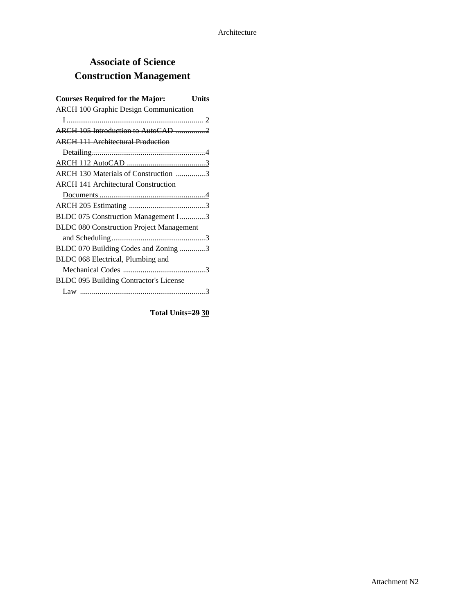# **Associate of Science Construction Management**

| <b>Courses Required for the Major:</b><br>Units |
|-------------------------------------------------|
| <b>ARCH 100 Graphic Design Communication</b>    |
|                                                 |
| ARCH 105 Introduction to AutoCAD 2              |
| <b>ARCH 111 Architectural Production</b>        |
|                                                 |
|                                                 |
| ARCH 130 Materials of Construction 3            |
| <b>ARCH 141 Architectural Construction</b>      |
|                                                 |
|                                                 |
| BLDC 075 Construction Management I3             |
| <b>BLDC 080 Construction Project Management</b> |
|                                                 |
| BLDC 070 Building Codes and Zoning 3            |
| BLDC 068 Electrical, Plumbing and               |
|                                                 |
| BLDC 095 Building Contractor's License          |
|                                                 |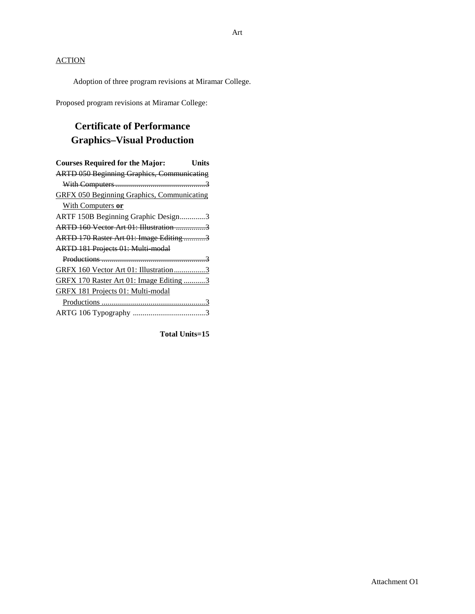Adoption of three program revisions at Miramar College.

Proposed program revisions at Miramar College:

## **Certificate of Performance Graphics–Visual Production**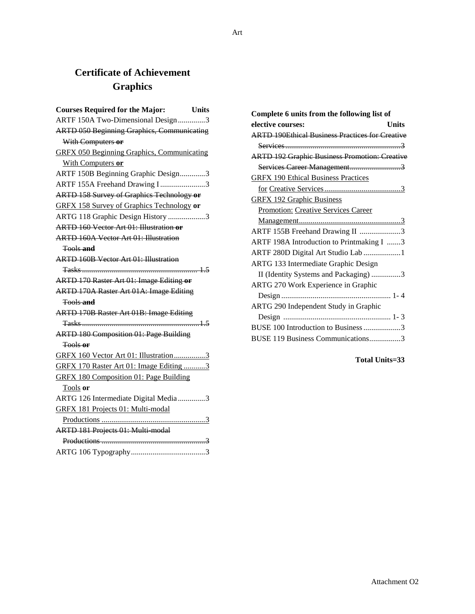# **Certificate of Achievement Graphics**

| <b>Courses Required for the Major:</b><br>Units   |  |
|---------------------------------------------------|--|
| ARTF 150A Two-Dimensional Design3                 |  |
| <b>ARTD 050 Beginning Graphics, Communicating</b> |  |
| With Computers or                                 |  |
| <b>GRFX 050 Beginning Graphics, Communicating</b> |  |
| With Computers or                                 |  |
| ARTF 150B Beginning Graphic Design3               |  |
| ARTF 155A Freehand Drawing I3                     |  |
| <b>ARTD 158 Survey of Graphics Technology or</b>  |  |
| <b>GRFX 158 Survey of Graphics Technology or</b>  |  |
| ARTG 118 Graphic Design History 3                 |  |
| <b>ARTD 160 Vector Art 01: Illustration or</b>    |  |
| <b>ARTD 160A Vector Art 01: Illustration</b>      |  |
| <b>Tools and</b>                                  |  |
| <b>ARTD 160B Vector Art 01: Illustration</b>      |  |
|                                                   |  |
| <b>ARTD 170 Raster Art 01: Image Editing or</b>   |  |
| <b>ARTD 170A Raster Art 01A: Image Editing</b>    |  |
| <del>Tools and</del>                              |  |
| <b>ARTD 170B Raster Art 01B: Image Editing</b>    |  |
|                                                   |  |
| <b>ARTD 180 Composition 01: Page Building</b>     |  |
| <del>Tools or</del>                               |  |
| GRFX 160 Vector Art 01: Illustration3             |  |
| GRFX 170 Raster Art 01: Image Editing 3           |  |
| <b>GRFX 180 Composition 01: Page Building</b>     |  |
| Tools or                                          |  |
| ARTG 126 Intermediate Digital Media 3             |  |
| GRFX 181 Projects 01: Multi-modal                 |  |
|                                                   |  |
| <b>ARTD 181 Projects 01: Multi modal</b>          |  |
|                                                   |  |
|                                                   |  |

| Complete 6 units from the following list of            |
|--------------------------------------------------------|
| elective courses:<br>Units                             |
| <b>ARTD 190Ethical Business Practices for Creative</b> |
|                                                        |
| <b>ARTD 192 Graphic Business Promotion: Creative</b>   |
| Services Career Management3                            |
| <b>GRFX 190 Ethical Business Practices</b>             |
|                                                        |
| <b>GRFX 192 Graphic Business</b>                       |
| <b>Promotion: Creative Services Career</b>             |
|                                                        |
| ARTF 155B Freehand Drawing II 3                        |
| ARTF 198A Introduction to Printmaking I 3              |
| ARTF 280D Digital Art Studio Lab 1                     |
| ARTG 133 Intermediate Graphic Design                   |
| II (Identity Systems and Packaging) 3                  |
| ARTG 270 Work Experience in Graphic                    |
|                                                        |
| ARTG 290 Independent Study in Graphic                  |
|                                                        |
| BUSE 100 Introduction to Business 3                    |
| BUSE 119 Business Communications3                      |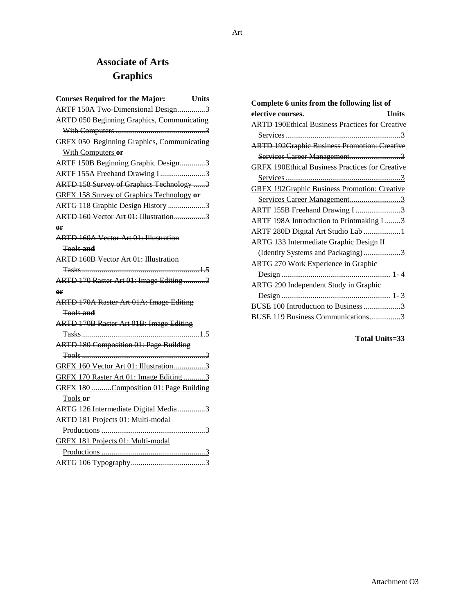# **Associate of Arts Graphics**

| <b>Courses Required for the Major:</b>            | <b>Units</b> |
|---------------------------------------------------|--------------|
| ARTF 150A Two-Dimensional Design3                 |              |
| <b>ARTD 050 Beginning Graphics, Communicating</b> |              |
|                                                   |              |
| <b>GRFX 050 Beginning Graphics, Communicating</b> |              |
| With Computers or                                 |              |
| ARTF 150B Beginning Graphic Design3               |              |
| ARTF 155A Freehand Drawing I3                     |              |
| ARTD 158 Survey of Graphics Technology 3          |              |
| <b>GRFX 158 Survey of Graphics Technology or</b>  |              |
| ARTG 118 Graphic Design History 3                 |              |
| ARTD 160 Vector Art 01: Illustration3             |              |
| $\theta$ F                                        |              |
| <b>ARTD 160A Vector Art 01: Illustration</b>      |              |
| <b>Tools and</b>                                  |              |
| <b>ARTD 160B Vector Art 01: Illustration</b>      |              |
|                                                   |              |
| ARTD 170 Raster Art 01: Image Editing 3           |              |
| $\rho$ r                                          |              |
| ARTD 170A Raster Art 01A: Image Editing           |              |
| <del>Tools and</del>                              |              |
| <b>ARTD 170B Raster Art 01B: Image Editing</b>    |              |
|                                                   |              |
| <b>ARTD 180 Composition 01: Page Building</b>     |              |
|                                                   |              |
| GRFX 160 Vector Art 01: Illustration3             |              |
| GRFX 170 Raster Art 01: Image Editing 3           |              |
| GRFX 180 Composition 01: Page Building            |              |
| Tools or                                          |              |
| ARTG 126 Intermediate Digital Media 3             |              |
| ARTD 181 Projects 01: Multi-modal                 |              |
|                                                   |              |
| GRFX 181 Projects 01: Multi-modal                 |              |
|                                                   |              |
|                                                   |              |

| Complete 6 units from the following list of            |
|--------------------------------------------------------|
| elective courses.<br>Units                             |
| <b>ARTD 190Ethical Business Practices for Creative</b> |
|                                                        |
| <b>ARTD 192Graphic Business Promotion: Creative</b>    |
| Services Career Management3                            |
| <b>GRFX 190Ethical Business Practices for Creative</b> |
|                                                        |
| <b>GRFX 192Graphic Business Promotion: Creative</b>    |
| Services Career Management3                            |
| ARTF 155B Freehand Drawing I 3                         |
| ARTF 198A Introduction to Printmaking I 3              |
| ARTF 280D Digital Art Studio Lab 1                     |
| ARTG 133 Intermediate Graphic Design II                |
| (Identity Systems and Packaging)3                      |
| ARTG 270 Work Experience in Graphic                    |
|                                                        |
| ARTG 290 Independent Study in Graphic                  |
|                                                        |
| BUSE 100 Introduction to Business 3                    |
| BUSE 119 Business Communications3                      |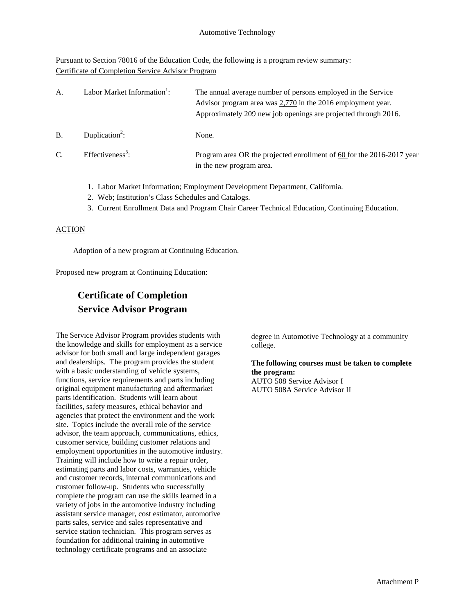Pursuant to Section 78016 of the Education Code, the following is a program review summary: Certificate of Completion Service Advisor Program

| А. | Labor Market Information <sup>1</sup> : | The annual average number of persons employed in the Service<br>Advisor program area was 2,770 in the 2016 employment year.<br>Approximately 209 new job openings are projected through 2016. |
|----|-----------------------------------------|-----------------------------------------------------------------------------------------------------------------------------------------------------------------------------------------------|
| B  | Duplication <sup>2</sup> :              | None.                                                                                                                                                                                         |
| C. | Effectiveness <sup>3</sup> :            | Program area OR the projected enrollment of 60 for the 2016-2017 year<br>in the new program area.                                                                                             |

- 1. Labor Market Information; Employment Development Department, California.
- 2. Web; Institution's Class Schedules and Catalogs.
- 3. Current Enrollment Data and Program Chair Career Technical Education, Continuing Education.

## **ACTION**

Adoption of a new program at Continuing Education.

Proposed new program at Continuing Education:

# **Certificate of Completion Service Advisor Program**

The Service Advisor Program provides students with the knowledge and skills for employment as a service advisor for both small and large independent garages and dealerships. The program provides the student with a basic understanding of vehicle systems, functions, service requirements and parts including original equipment manufacturing and aftermarket parts identification. Students will learn about facilities, safety measures, ethical behavior and agencies that protect the environment and the work site. Topics include the overall role of the service advisor, the team approach, communications, ethics, customer service, building customer relations and employment opportunities in the automotive industry. Training will include how to write a repair order, estimating parts and labor costs, warranties, vehicle and customer records, internal communications and customer follow-up. Students who successfully complete the program can use the skills learned in a variety of jobs in the automotive industry including assistant service manager, cost estimator, automotive parts sales, service and sales representative and service station technician. This program serves as foundation for additional training in automotive technology certificate programs and an associate

degree in Automotive Technology at a community college.

## **The following courses must be taken to complete the program:**

AUTO 508 Service Advisor I AUTO 508A Service Advisor II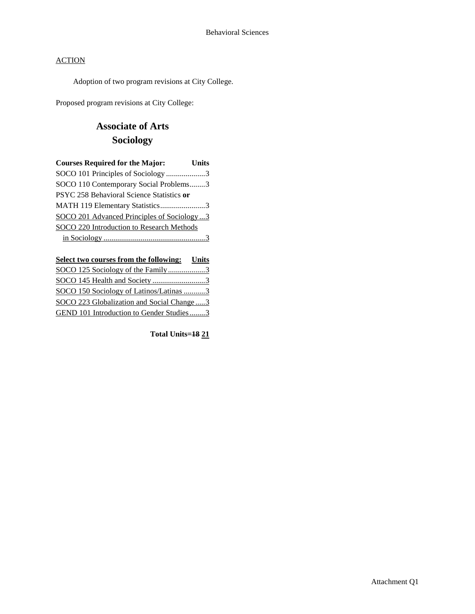Adoption of two program revisions at City College.

Proposed program revisions at City College:

# **Associate of Arts Sociology**

| <b>Courses Required for the Major:</b>     | <b>Units</b> |
|--------------------------------------------|--------------|
| SOCO 101 Principles of Sociology 3         |              |
| SOCO 110 Contemporary Social Problems3     |              |
| PSYC 258 Behavioral Science Statistics or  |              |
| MATH 119 Elementary Statistics3            |              |
| SOCO 201 Advanced Principles of Sociology3 |              |
| SOCO 220 Introduction to Research Methods  |              |
|                                            |              |

| Select two courses from the following: Units |  |
|----------------------------------------------|--|
| SOCO 125 Sociology of the Family3            |  |
|                                              |  |
| SOCO 150 Sociology of Latinos/Latinas 3      |  |
| SOCO 223 Globalization and Social Change3    |  |
| GEND 101 Introduction to Gender Studies3     |  |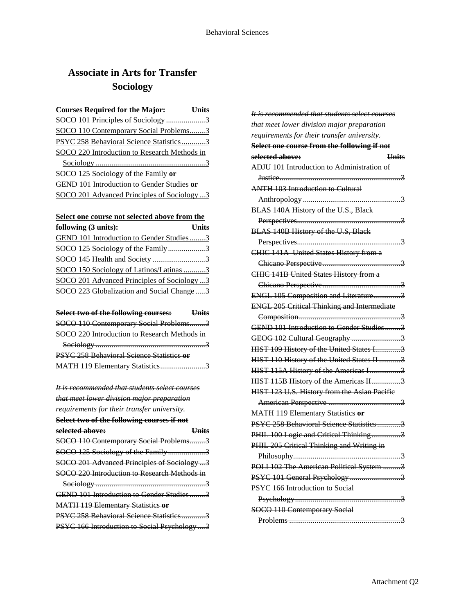# **Associate in Arts for Transfer Sociology**

| <b>Courses Required for the Major:</b>       | Units |
|----------------------------------------------|-------|
| SOCO 101 Principles of Sociology 3           |       |
| SOCO 110 Contemporary Social Problems3       |       |
| PSYC 258 Behavioral Science Statistics3      |       |
| SOCO 220 Introduction to Research Methods in |       |
|                                              |       |
| SOCO 125 Sociology of the Family or          |       |
| GEND 101 Introduction to Gender Studies or   |       |
| SOCO 201 Advanced Principles of Sociology3   |       |

## **Select one course not selected above from the**

| following (3 units):                       | <b>Units</b> |
|--------------------------------------------|--------------|
| GEND 101 Introduction to Gender Studies3   |              |
| SOCO 125 Sociology of the Family3          |              |
|                                            |              |
| SOCO 150 Sociology of Latinos/Latinas 3    |              |
| SOCO 201 Advanced Principles of Sociology3 |              |
| SOCO 223 Globalization and Social Change3  |              |

| Select two of the following courses:             | <b>Hnits</b> |
|--------------------------------------------------|--------------|
| SOCO 110 Contemporary Social Problems3           |              |
| SOCO 220 Introduction to Research Methods in     |              |
|                                                  |              |
| <b>PSYC 258 Behavioral Science Statistics or</b> |              |
| MATH 119 Elementary Statistics3                  |              |

| <u>It is recommended that students select courses</u> |              |
|-------------------------------------------------------|--------------|
| that meet lower division major preparation            |              |
| requirements for their transfer university.           |              |
| Select two of the following courses if not            |              |
| selected above:                                       | <u>Units</u> |
| SOCO 110 Contemporary Social Problems3                |              |
| SOCO 125 Sociology of the Family3                     |              |
| SOCO 201 Advanced Principles of Sociology 3           |              |
| SOCO 220 Introduction to Research Methods in          |              |
|                                                       |              |
| GEND 101 Introduction to Gender Studies3              |              |
| <b>MATH 119 Elementary Statistics or</b>              |              |
| PSYC 258 Behavioral Science Statistics3               |              |
| PSYC 166 Introduction to Social Psychology 3          |              |

| It is recommended that students select courses     |
|----------------------------------------------------|
| that meet lower division major preparation         |
| requirements for their transfer university.        |
| Select one course from the following if not        |
| selected above:<br><b>Units</b>                    |
| <b>ADJU 101 Introduction to Administration of</b>  |
| <del>Justice</del><br><del>3</del>                 |
| <b>ANTH 103 Introduction to Cultural</b>           |
|                                                    |
| BLAS 140A History of the U.S., Black               |
|                                                    |
| BLAS 140B History of the U.S, Black                |
|                                                    |
| CHIC 141A United States History from a             |
|                                                    |
| <b>CHIC 141B United States History from a</b>      |
|                                                    |
| ENGL 105 Composition and Literature3               |
| <b>ENGL 205 Critical Thinking and Intermediate</b> |
|                                                    |
| GEND 101 Introduction to Gender Studies3           |
| GEOG 102 Cultural Geography 3                      |
| HIST 109 History of the United States I3           |
| HIST 110 History of the United States II 3         |
| HIST 115A History of the Americas I3               |
| HIST 115B History of the Americas II3              |
| HIST 123 U.S. History from the Asian Pacific       |
|                                                    |
| <b>MATH 119 Elementary Statistics or</b>           |
| PSYC 258 Behavioral Science Statistics             |
| PHIL 100 Logic and Critical Thinking3              |
| PHIL 205 Critical Thinking and Writing in          |
| 3                                                  |
| POLI 102 The American Political System 3           |
| PSYC 101 General Psychology 3                      |
| PSYC 166 Introduction to Social                    |
|                                                    |
| SOCO 110 Contemporary Social                       |
|                                                    |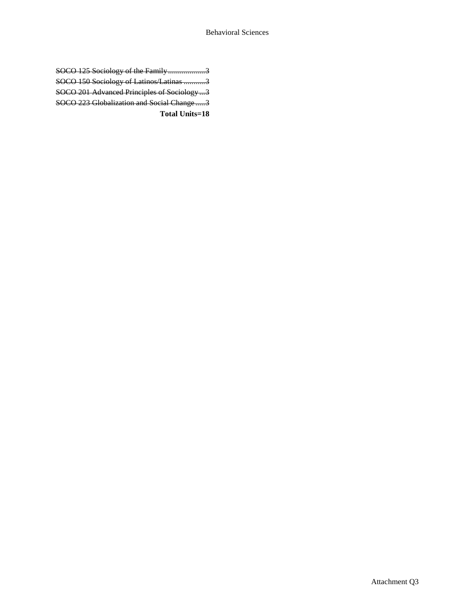| Total Units=18                              |  |
|---------------------------------------------|--|
| SOCO 223 Globalization and Social Change3   |  |
| SOCO 201 Advanced Principles of Sociology 3 |  |
| SOCO 150 Sociology of Latinos/Latinas 3     |  |
| SOCO 125 Sociology of the Family3           |  |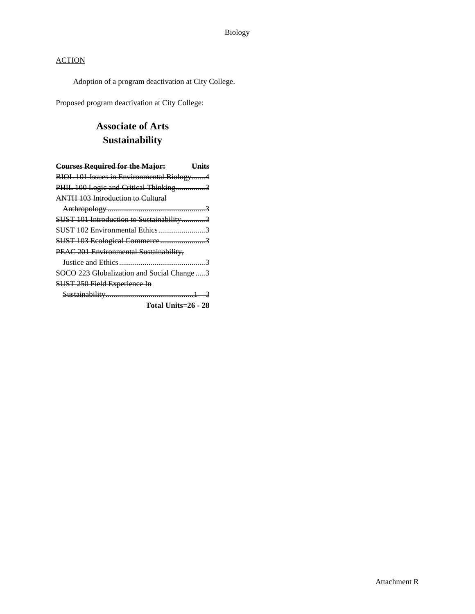Adoption of a program deactivation at City College.

Proposed program deactivation at City College:

## **Associate of Arts Sustainability**

| <b>Courses Required for the Major:</b>    | <b>Units</b> |
|-------------------------------------------|--------------|
| BIOL 101 Issues in Environmental Biology4 |              |
| PHIL 100 Logic and Critical Thinking3     |              |
| <b>ANTH 103 Introduction to Cultural</b>  |              |
|                                           |              |
| SUST 101 Introduction to Sustainability3  |              |
|                                           |              |
| SUST 103 Ecological Commerce3             |              |
| PEAC 201 Environmental Sustainability,    |              |
|                                           |              |
| SOCO 223 Globalization and Social Change3 |              |
| SUST 250 Field Experience In              |              |
|                                           |              |
| <b>Total Units=26 - 28</b>                |              |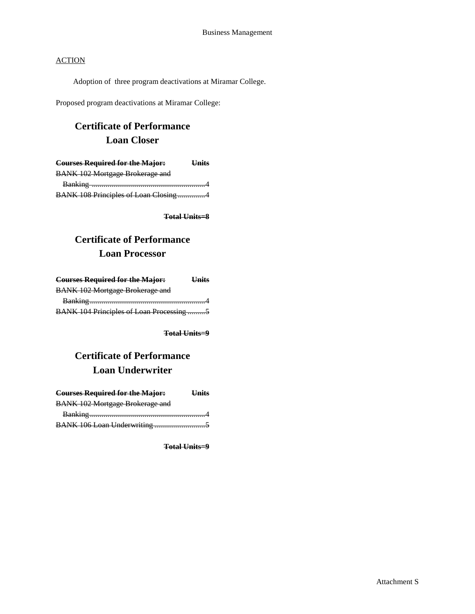Adoption of three program deactivations at Miramar College.

Proposed program deactivations at Miramar College:

# **Certificate of Performance Loan Closer**

| <b>Courses Required for the Major:</b> | <b>Units</b> |
|----------------------------------------|--------------|
| <b>BANK 102 Mortgage Brokerage and</b> |              |
|                                        |              |
| BANK 108 Principles of Loan Closing 4  |              |

**Total Units=8**

## **Certificate of Performance Loan Processor**

| <b>Courses Required for the Major:</b>   | <b>Units</b> |
|------------------------------------------|--------------|
| <b>BANK 102 Mortgage Brokerage and</b>   |              |
|                                          |              |
| BANK 104 Principles of Loan Processing 5 |              |

**Total Units=9**

# **Certificate of Performance Loan Underwriter**

| <b>Courses Required for the Major:</b> | $Ilin$ ito |
|----------------------------------------|------------|
| <b>BANK 102 Mortgage Brokerage and</b> |            |
|                                        |            |
|                                        |            |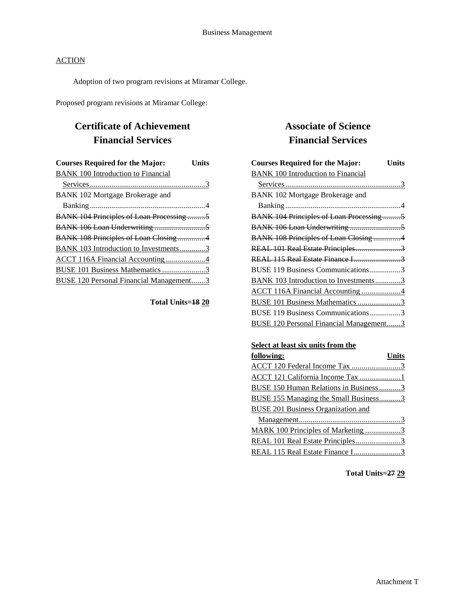Adoption of two program revisions at Miramar College.

Proposed program revisions at Miramar College:

## **Certificate of Achievement Financial Services**

| <b>Courses Required for the Major:</b>          | Units |
|-------------------------------------------------|-------|
| <b>BANK 100 Introduction to Financial</b>       |       |
|                                                 |       |
| BANK 102 Mortgage Brokerage and                 |       |
|                                                 |       |
| <b>BANK 104 Principles of Loan Processing 5</b> |       |
|                                                 |       |
| BANK 108 Principles of Loan Closing 4           |       |
| <b>BANK 103 Introduction to Investments3</b>    |       |
| ACCT 116A Financial Accounting 4                |       |
| BUSE 101 Business Mathematics 3                 |       |
| BUSE 120 Personal Financial Management3         |       |

**Total Units=18 20**

## **Associate of Science Financial Services**

| <b>Courses Required for the Major:</b>          | Units |
|-------------------------------------------------|-------|
| <b>BANK 100 Introduction to Financial</b>       |       |
|                                                 |       |
| BANK 102 Mortgage Brokerage and                 |       |
|                                                 |       |
| <b>BANK 104 Principles of Loan Processing 5</b> |       |
|                                                 |       |
| BANK 108 Principles of Loan Closing 4           |       |
| REAL 101 Real Estate Principles3                |       |
| REAL 115 Real Estate Finance I3                 |       |
| BUSE 119 Business Communications3               |       |
| BANK 103 Introduction to Investments3           |       |
| ACCT 116A Financial Accounting 4                |       |
| BUSE 101 Business Mathematics 3                 |       |
| BUSE 119 Business Communications3               |       |
| BUSE 120 Personal Financial Management3         |       |

## **Select at least six units from the**

| following:                                | <b>Units</b> |
|-------------------------------------------|--------------|
| ACCT 120 Federal Income Tax 3             |              |
| ACCT 121 California Income Tax 1          |              |
| BUSE 150 Human Relations in Business 3    |              |
| BUSE 155 Managing the Small Business3     |              |
| <b>BUSE 201 Business Organization and</b> |              |
|                                           |              |
| MARK 100 Principles of Marketing 3        |              |
| REAL 101 Real Estate Principles3          |              |
| REAL 115 Real Estate Finance I3           |              |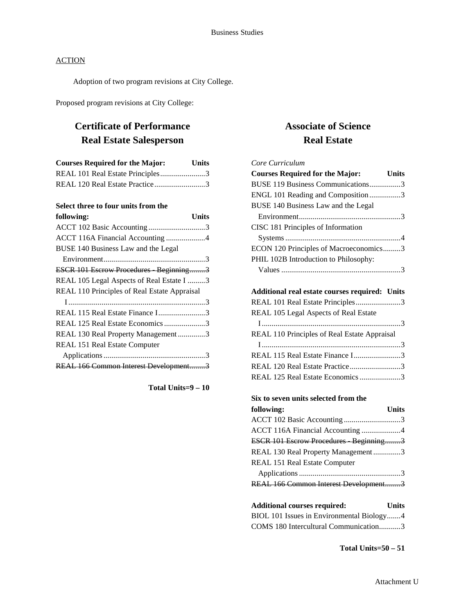Adoption of two program revisions at City College.

Proposed program revisions at City College:

## **Certificate of Performance Real Estate Salesperson**

| <b>Courses Required for the Major:</b> | <b>Units</b> |
|----------------------------------------|--------------|
| REAL 101 Real Estate Principles3       |              |
| REAL 120 Real Estate Practice3         |              |

## **Select three to four units from the**

| following:                                   | Units |
|----------------------------------------------|-------|
| ACCT 102 Basic Accounting3                   |       |
| ACCT 116A Financial Accounting 4             |       |
| BUSE 140 Business Law and the Legal          |       |
|                                              |       |
| ESCR 101 Escrow Procedures Beginning3        |       |
| REAL 105 Legal Aspects of Real Estate I 3    |       |
| REAL 110 Principles of Real Estate Appraisal |       |
|                                              |       |
| REAL 115 Real Estate Finance I3              |       |
| REAL 125 Real Estate Economics3              |       |
| REAL 130 Real Property Management3           |       |
| REAL 151 Real Estate Computer                |       |
|                                              |       |
| REAL 166 Common Interest Development3        |       |

**Total Units=9 – 10**

## **Associate of Science Real Estate**

| Core Curriculum                                       |              |
|-------------------------------------------------------|--------------|
| <b>Courses Required for the Major:</b> Units          |              |
| BUSE 119 Business Communications3                     |              |
| ENGL 101 Reading and Composition3                     |              |
| BUSE 140 Business Law and the Legal                   |              |
|                                                       |              |
| CISC 181 Principles of Information                    |              |
|                                                       |              |
| ECON 120 Principles of Macroeconomics3                |              |
| PHIL 102B Introduction to Philosophy:                 |              |
|                                                       |              |
|                                                       |              |
| <b>Additional real estate courses required: Units</b> |              |
| REAL 101 Real Estate Principles3                      |              |
| REAL 105 Legal Aspects of Real Estate                 |              |
|                                                       |              |
| REAL 110 Principles of Real Estate Appraisal          |              |
|                                                       |              |
| REAL 115 Real Estate Finance I3                       |              |
| REAL 120 Real Estate Practice3                        |              |
| REAL 125 Real Estate Economics 3                      |              |
|                                                       |              |
| Six to seven units selected from the                  |              |
| following:                                            | <b>Units</b> |
| ACCT 102 Basic Accounting3                            |              |
| ACCT 116A Financial Accounting 4                      |              |
| ESCR 101 Escrow Procedures Beginning3                 |              |
| REAL 130 Real Property Management3                    |              |
| REAL 151 Real Estate Computer                         |              |
|                                                       |              |
| REAL 166 Common Interest Development3                 |              |

| <b>Additional courses required:</b>       | <b>Units</b> |
|-------------------------------------------|--------------|
| BIOL 101 Issues in Environmental Biology4 |              |
| COMS 180 Intercultural Communication3     |              |

**Total Units=50 – 51**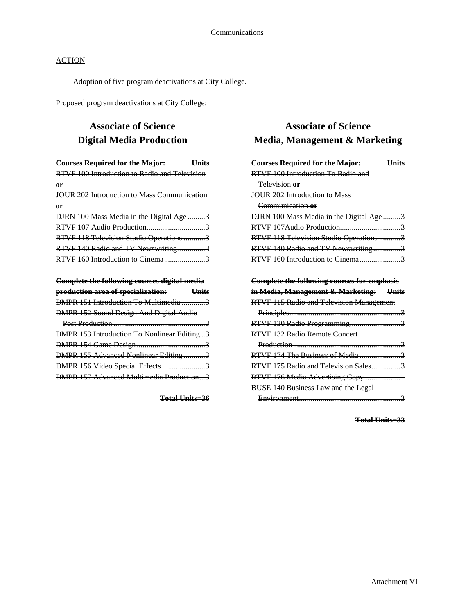Adoption of five program deactivations at City College.

Proposed program deactivations at City College:

## **Associate of Science Digital Media Production**

| <b>Courses Required for the Major:</b><br><b>Units</b> |  |
|--------------------------------------------------------|--|
| <b>RTVF 100 Introduction to Radio and Television</b>   |  |
| or                                                     |  |
| <b>JOUR 202 Introduction to Mass Communication</b>     |  |
| өr                                                     |  |
| DJRN 100 Mass Media in the Digital Age3                |  |
| RTVF 107 Audio Production3                             |  |
| RTVF 118 Television Studio Operations 3                |  |
| RTVF 140 Radio and TV Newswriting3                     |  |
| RTVF 160 Introduction to Cinema3                       |  |
|                                                        |  |
| <b>Complete the following courses digital media</b>    |  |
| production area of specialization:<br><b>Units</b>     |  |
| DMPR 151 Introduction To Multimedia 3                  |  |
| DMPR 152 Sound Design And Digital Audio                |  |
|                                                        |  |
| <b>DMPR 153 Introduction To Nonlinear Editing3</b>     |  |
|                                                        |  |
| DMPR 155 Advanced Nonlinear Editing3                   |  |
| DMPR 156 Video Special Effects3                        |  |
| DMPR 157 Advanced Multimedia Production3               |  |

**Total Units=36**

## **Associate of Science Media, Management & Marketing**

| <b>Courses Required for the Major:</b><br><b>Units</b>    |
|-----------------------------------------------------------|
| RTVF 100 Introduction To Radio and                        |
| Television or                                             |
| <b>JOUR 202 Introduction to Mass</b>                      |
| Communication or                                          |
| DJRN 100 Mass Media in the Digital Age 3                  |
|                                                           |
| RTVF 118 Television Studio Operations 3                   |
| RTVF 140 Radio and TV Newswriting3                        |
| RTVF 160 Introduction to Cinema3                          |
|                                                           |
| <b>Complete the following courses for emphasis</b>        |
|                                                           |
| <del>in Media, Management &amp; Marketing:</del><br>Units |
| RTVF 115 Radio and Television Management                  |
|                                                           |
| RTVF 130 Radio Programming3                               |
| RTVF 132 Radio Remote Concert                             |
|                                                           |
| RTVF 174 The Business of Media 3                          |
| RTVF 175 Radio and Television Sales3                      |
| RTVF 176 Media Advertising Copy 1                         |
| <b>BUSE 140 Business Law and the Legal</b>                |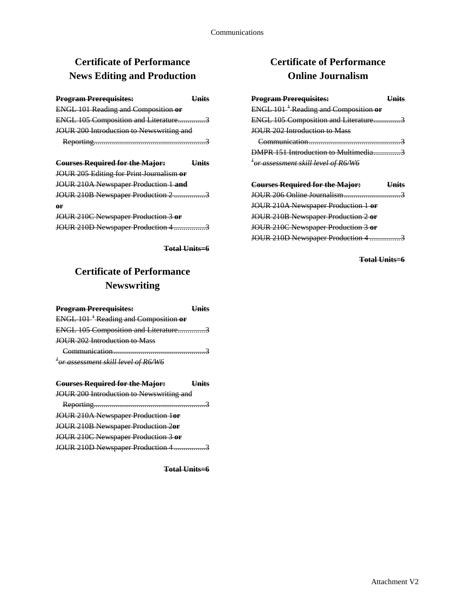# **Certificate of Performance News Editing and Production**

| <b>Program Prerequisites:</b>              | <u>Units</u> |
|--------------------------------------------|--------------|
| <b>ENGL 101 Reading and Composition or</b> |              |
| ENGL 105 Composition and Literature3       |              |
| JOUR 200 Introduction to Newswriting and   |              |
|                                            |              |
|                                            |              |
| <b>Courses Required for the Major:</b>     | <b>Units</b> |
| JOUR 205 Editing for Print Journalism or   |              |
| JOUR 210A Newspaper Production 1 and       |              |
| JOUR 210B Newspaper Production 2 3         |              |
| or                                         |              |
| JOUR 210C Newspaper Production 3 or        |              |
| JOUR 210D Newspaper Production 4 3         |              |

**Total Units=6**

# **Certificate of Performance Newswriting**

| <b>Program Prerequisites:</b>                           | Hnits        |
|---------------------------------------------------------|--------------|
| <b>ENGL 101<sup>-1</sup></b> Reading and Composition or |              |
| ENGL 105 Composition and Literature3                    |              |
| <b>JOUR 202 Introduction to Mass</b>                    |              |
|                                                         |              |
| <sup>+</sup> or assessment skill level of R6/W6         |              |
|                                                         |              |
|                                                         |              |
| <b>Courses Required for the Major:</b>                  | <b>Units</b> |
| JOUR 200 Introduction to Newswriting and                |              |
|                                                         |              |
| JOUR 210A Newspaper Production 1or                      |              |
| <b>JOUR 210B Newspaper Production 2or</b>               |              |

JOUR 210D Newspaper Production 4 .................3

**Total Units=6**

## **Certificate of Performance Online Journalism**

| <b>Program Prerequisites:</b><br>$ENGL 1011$ Reading and Composition or<br>ENGL 105 Composition and Literature3<br><b>IQUR 202 Introduction to Mass</b> | Hnits        |
|---------------------------------------------------------------------------------------------------------------------------------------------------------|--------------|
| DMPR 151 Introduction to Multimedia3                                                                                                                    |              |
| <sup>+</sup> or assessment skill level of R6/W6                                                                                                         |              |
| <b>Courses Required for the Major:</b>                                                                                                                  | <b>Units</b> |
|                                                                                                                                                         |              |
| JOUR 210A Newspaper Production 1 or                                                                                                                     |              |
| JOUR 210B Newspaper Production 2 or                                                                                                                     |              |

JOUR 210C Newspaper Production 3 **or** JOUR 210D Newspaper Production 4 .................3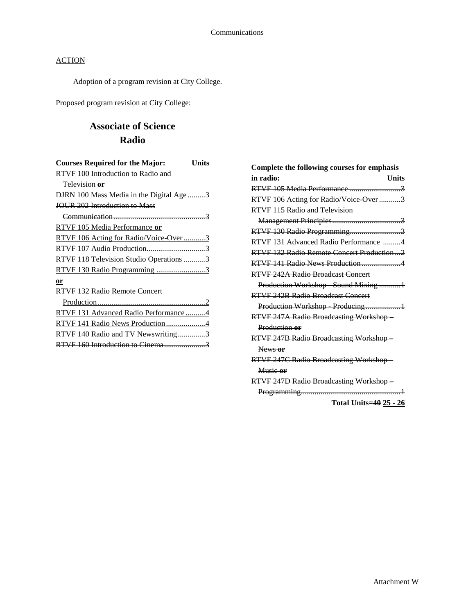Adoption of a program revision at City College.

Proposed program revision at City College:

## **Associate of Science Radio**

| <b>Courses Required for the Major:</b>   | Units |
|------------------------------------------|-------|
| RTVF 100 Introduction to Radio and       |       |
| Television or                            |       |
| DJRN 100 Mass Media in the Digital Age 3 |       |
| JOUR 202 Introduction to Mass            |       |
|                                          |       |
| RTVF 105 Media Performance or            |       |
| RTVF 106 Acting for Radio/Voice-Over3    |       |
| RTVF 107 Audio Production3               |       |
| RTVF 118 Television Studio Operations 3  |       |
| <u>RTVF 130 Radio Programming 3</u>      |       |
| or                                       |       |
| RTVF 132 Radio Remote Concert            |       |
|                                          |       |
| RTVF 131 Advanced Radio Performance4     |       |
| RTVF 141 Radio News Production4          |       |
| RTVF 140 Radio and TV Newswriting3       |       |
|                                          |       |
|                                          |       |

| <b>Complete the following courses for emphasis</b> |
|----------------------------------------------------|
| in radio:<br><b>Units</b>                          |
| RTVF 105 Media Performance 3                       |
| RTVF 106 Acting for Radio/Voice Over3              |
| RTVF 115 Radio and Television                      |
|                                                    |
| RTVF 130 Radio Programming3                        |
| RTVF 131 Advanced Radio Performance 4              |
| RTVF 132 Radio Remote Concert Production2          |
| RTVF 141 Radio News Production4                    |
| RTVF 242A Radio Broadcast Concert                  |
| Production Workshop Sound Mixing1                  |
| RTVF 242B Radio Broadcast Concert                  |
| Production Workshop Producing1                     |
| <b>RTVF 247A Radio Broadcasting Workshop</b>       |
| Production or                                      |
| <b>RTVF 247B Radio Broadcasting Workshop-</b>      |
| News or                                            |
| <b>RTVF 247C Radio Broadcasting Workshop-</b>      |
| Music or                                           |
| <b>RTVF 247D Radio Broadcasting Workshop</b>       |
|                                                    |

**Total Units=40 25 - 26**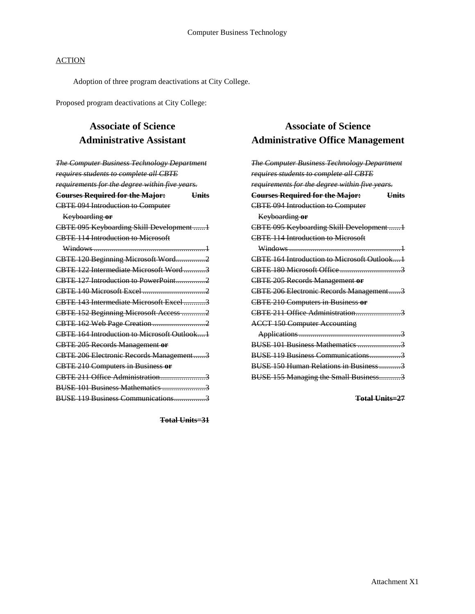Adoption of three program deactivations at City College.

Proposed program deactivations at City College:

## **Associate of Science Administrative Assistant**

| <b>The Computer Business Technology Department</b>     |  |
|--------------------------------------------------------|--|
| requires students to complete all CBTE                 |  |
| requirements for the degree within five years.         |  |
| <b>Courses Required for the Major:</b><br><b>Units</b> |  |
| <b>CBTE 094 Introduction to Computer</b>               |  |
| Keyboarding or                                         |  |
| CBTE 095 Keyboarding Skill Development 1               |  |
| <b>CBTE 114 Introduction to Microsoft</b>              |  |
|                                                        |  |
| CBTE 120 Beginning Microsoft Word2                     |  |
| CBTE 122 Intermediate Microsoft Word3                  |  |
| CBTE 127 Introduction to PowerPoint                    |  |
|                                                        |  |
| CBTE 143 Intermediate Microsoft Excel 3                |  |
| CBTE 152 Beginning Microsoft Access 2                  |  |
|                                                        |  |
| CBTE 164 Introduction to Microsoft Outlook1            |  |
| <b>CBTE 205 Records Management or</b>                  |  |
| CBTE 206 Electronic Records Management3                |  |
| <b>CBTE 210 Computers in Business or</b>               |  |
| CBTE 211 Office Administration3                        |  |
|                                                        |  |
| BUSE 119 Business Communications                       |  |

**Associate of Science Administrative Office Management**

| <b>The Computer Business Technology Department</b>     |
|--------------------------------------------------------|
| requires students to complete all CBTE                 |
| requirements for the degree within five years.         |
| <b>Courses Required for the Major:</b><br><b>Units</b> |
| <b>CBTE 094 Introduction to Computer</b>               |
| Keyboarding or                                         |
| CBTE 095 Keyboarding Skill Development 1               |
| <b>CRTE 114 Introduction to Microsoft</b>              |
|                                                        |
| CBTE 164 Introduction to Microsoft Outlook1            |
|                                                        |
| <b>CBTE 205 Records Management or</b>                  |
| CBTE 206 Electronic Records Management3                |
| <b>CBTE 210 Computers in Business or</b>               |
| CRTE 211 Office Administration                         |
| <b>ACCT 150 Computer Accounting</b>                    |
|                                                        |
| BUSE 101 Business Mathematics 3                        |
| BUSE 119 Business Communications3                      |
|                                                        |
| BUSE 155 Managing the Small Business3                  |

**Total Units=27**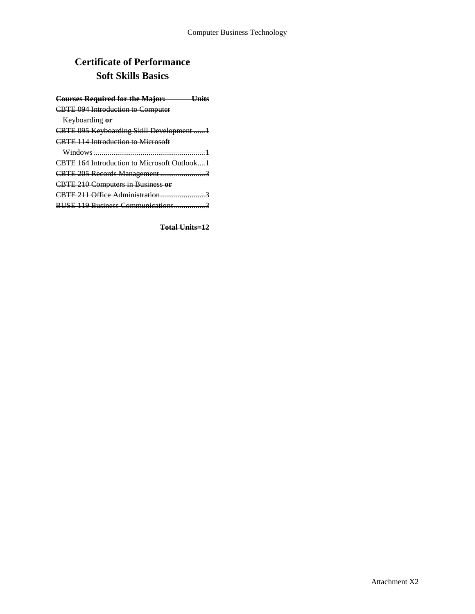# **Certificate of Performance Soft Skills Basics**

| <b>Courses Required for the Major:</b><br><u> Unite</u> |
|---------------------------------------------------------|
| <b>CBTE 094 Introduction to Computer</b>                |
| Keyboarding or                                          |
| CBTE 095 Keyboarding Skill Development 1                |
| <b>CBTE 114 Introduction to Microsoft</b>               |
|                                                         |
| CBTE 164 Introduction to Microsoft Outlook1             |
| CBTE 205 Records Management3                            |
| <b>CBTE 210 Computers in Business or</b>                |
|                                                         |
| BUSE 119 Business Communications                        |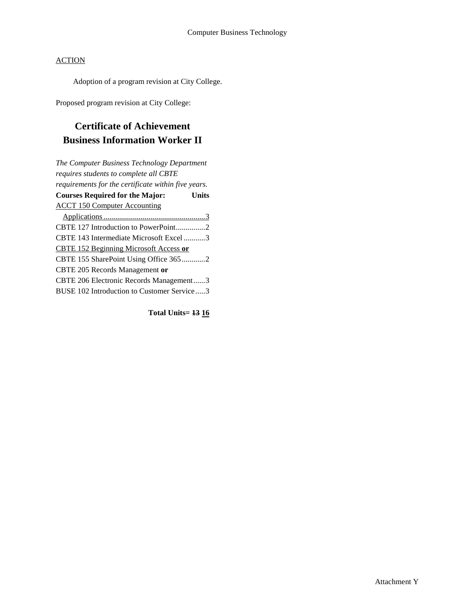Adoption of a program revision at City College.

Proposed program revision at City College:

## **Certificate of Achievement Business Information Worker II**

*The Computer Business Technology Department requires students to complete all CBTE requirements for the certificate within five years.* **Courses Required for the Major: Units** ACCT 150 Computer Accounting Applications....................................................3 CBTE 127 Introduction to PowerPoint...............2 CBTE 143 Intermediate Microsoft Excel ...........3 CBTE 152 Beginning Microsoft Access **or**  CBTE 155 SharePoint Using Office 365............2 CBTE 205 Records Management **or** CBTE 206 Electronic Records Management......3 BUSE 102 Introduction to Customer Service.....3

**Total Units= 13 16**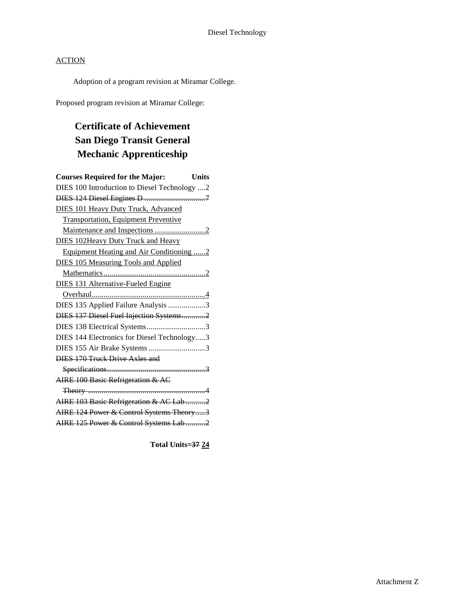Adoption of a program revision at Miramar College.

Proposed program revision at Miramar College:

# **Certificate of Achievement San Diego Transit General Mechanic Apprenticeship**

| <b>Courses Required for the Major:</b><br><b>Units</b> |
|--------------------------------------------------------|
| DIES 100 Introduction to Diesel Technology 2           |
|                                                        |
| <b>DIES 101 Heavy Duty Truck, Advanced</b>             |
| <b>Transportation, Equipment Preventive</b>            |
|                                                        |
| <b>DIES 102Heavy Duty Truck and Heavy</b>              |
| Equipment Heating and Air Conditioning 2               |
| <b>DIES 105 Measuring Tools and Applied</b>            |
|                                                        |
| DIES 131 Alternative-Fueled Engine                     |
|                                                        |
| DIES 135 Applied Failure Analysis 3                    |
| DIES 137 Diesel Fuel Injection Systems2                |
| DIES 138 Electrical Systems3                           |
| DIES 144 Electronics for Diesel Technology3            |
| DIES 155 Air Brake Systems 3                           |
| <b>DIES 170 Truck Drive Axles and</b>                  |
|                                                        |
| AIRE 100 Basic Refrigeration & AC                      |
|                                                        |
| AIRE 103 Basic Refrigeration & AC Lab 2                |
| AIRE 124 Power & Control Systems Theory3               |
| AIRE 125 Power & Control Systems Lab 2                 |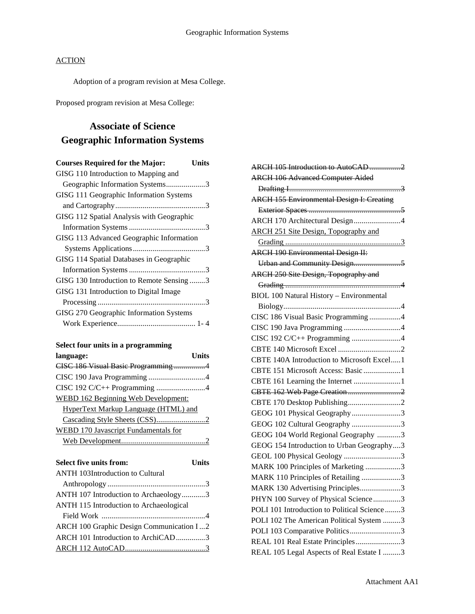Adoption of a program revision at Mesa College.

Proposed program revision at Mesa College:

## **Associate of Science Geographic Information Systems**

| <b>Courses Required for the Major:</b>    | Units |
|-------------------------------------------|-------|
| GISG 110 Introduction to Mapping and      |       |
| Geographic Information Systems3           |       |
| GISG 111 Geographic Information Systems   |       |
|                                           |       |
| GISG 112 Spatial Analysis with Geographic |       |
|                                           |       |
| GISG 113 Advanced Geographic Information  |       |
|                                           |       |
| GISG 114 Spatial Databases in Geographic  |       |
|                                           |       |
| GISG 130 Introduction to Remote Sensing 3 |       |
| GISG 131 Introduction to Digital Image    |       |
|                                           |       |
| GISG 270 Geographic Information Systems   |       |
|                                           |       |
|                                           |       |

|  |  | Select four units in a programming |
|--|--|------------------------------------|
|  |  |                                    |

| language:                                   | ∐nits |
|---------------------------------------------|-------|
|                                             |       |
|                                             |       |
| CISC 192 C/C++ Programming 4                |       |
| <b>WEBD 162 Beginning Web Development:</b>  |       |
| <b>HyperText Markup Language (HTML) and</b> |       |
|                                             |       |
| WEBD 170 Javascript Fundamentals for        |       |
|                                             |       |
|                                             |       |
| Select five units from:                     | Units |
| <b>ANTH 103Introduction to Cultural</b>     |       |

| ANTII TOSHIIUQUUCHOII tO Cuitural        |  |
|------------------------------------------|--|
|                                          |  |
| ANTH 107 Introduction to Archaeology3    |  |
| ANTH 115 Introduction to Archaeological  |  |
|                                          |  |
| ARCH 100 Graphic Design Communication I2 |  |
| ARCH 101 Introduction to ArchiCAD3       |  |
|                                          |  |
|                                          |  |

| ARCH 105 Introduction to AutoCAD2                |
|--------------------------------------------------|
| <b>ARCH 106 Advanced Computer Aided</b>          |
|                                                  |
| <b>ARCH 155 Environmental Design I: Creating</b> |
|                                                  |
| ARCH 170 Architectural Design4                   |
| <b>ARCH 251 Site Design, Topography and</b>      |
|                                                  |
| <b>ARCH 190 Environmental Design II:</b>         |
| Urban and Community Design5                      |
| ARCH 250 Site Design, Topography and             |
|                                                  |
| <b>BIOL 100 Natural History - Environmental</b>  |
|                                                  |
| CISC 186 Visual Basic Programming 4              |
|                                                  |
| CISC 192 C/C++ Programming 4                     |
|                                                  |
| CBTE 140A Introduction to Microsoft Excel1       |
| CBTE 151 Microsoft Access: Basic 1               |
| CBTE 161 Learning the Internet 1                 |
| CBTE 162 Web Page Creation2                      |
|                                                  |
| GEOG 101 Physical Geography3                     |
| GEOG 102 Cultural Geography 3                    |
| GEOG 104 World Regional Geography 3              |
| GEOG 154 Introduction to Urban Geography3        |
| GEOL 100 Physical Geology 3                      |
| MARK 100 Principles of Marketing 3               |
| MARK 110 Principles of Retailing 3               |
| MARK 130 Advertising Principles3                 |
| PHYN 100 Survey of Physical Science3             |
| POLI 101 Introduction to Political Science 3     |
| POLI 102 The American Political System 3         |
| POLI 103 Comparative Politics3                   |
| REAL 101 Real Estate Principles3                 |
| REAL 105 Legal Aspects of Real Estate I 3        |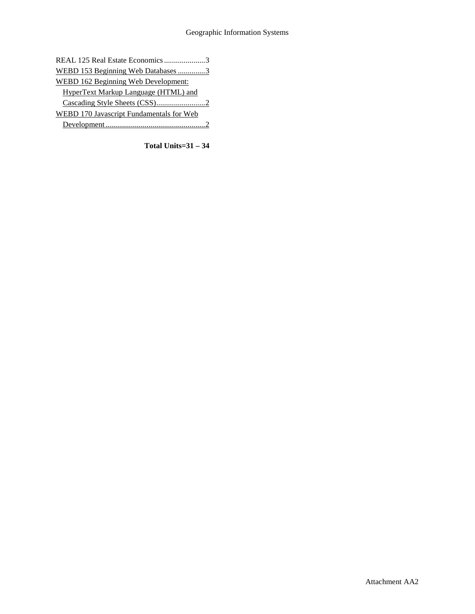| REAL 125 Real Estate Economics 3           |  |
|--------------------------------------------|--|
| WEBD 153 Beginning Web Databases 3         |  |
| <b>WEBD 162 Beginning Web Development:</b> |  |
| HyperText Markup Language (HTML) and       |  |
|                                            |  |
| WEBD 170 Javascript Fundamentals for Web   |  |
|                                            |  |

**Total Units=31 – 34**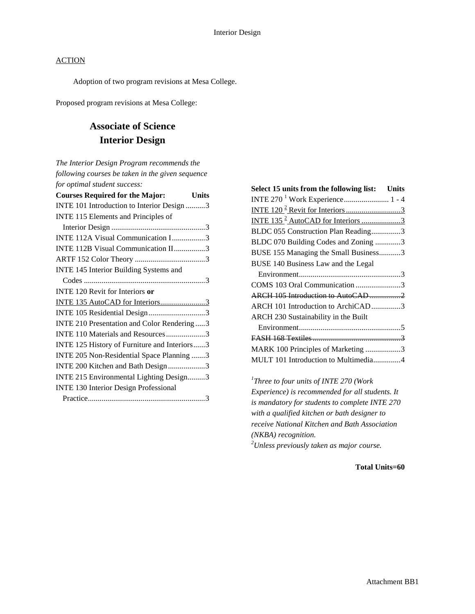Adoption of two program revisions at Mesa College.

Proposed program revisions at Mesa College:

## **Associate of Science Interior Design**

*The Interior Design Program recommends the following courses be taken in the given sequence for optimal student success:*

| <b>Courses Required for the Major:</b><br>Units |
|-------------------------------------------------|
| INTE 101 Introduction to Interior Design 3      |
| INTE 115 Elements and Principles of             |
|                                                 |
| INTE 112A Visual Communication I3               |
| INTE 112B Visual Communication II3              |
|                                                 |
| INTE 145 Interior Building Systems and          |
|                                                 |
| <b>INTE 120 Revit for Interiors or</b>          |
| INTE 135 AutoCAD for Interiors3                 |
| INTE 105 Residential Design3                    |
| INTE 210 Presentation and Color Rendering3      |
| INTE 110 Materials and Resources3               |
| INTE 125 History of Furniture and Interiors3    |
| INTE 205 Non-Residential Space Planning 3       |
| INTE 200 Kitchen and Bath Design3               |
| INTE 215 Environmental Lighting Design3         |
| <b>INTE 130 Interior Design Professional</b>    |
|                                                 |

| Select 15 units from the following list: Units |  |
|------------------------------------------------|--|
|                                                |  |
|                                                |  |
| INTE 135 <sup>2</sup> AutoCAD for Interiors 3  |  |
| BLDC 055 Construction Plan Reading3            |  |
| BLDC 070 Building Codes and Zoning 3           |  |
| BUSE 155 Managing the Small Business3          |  |
| BUSE 140 Business Law and the Legal            |  |
|                                                |  |
| COMS 103 Oral Communication 3                  |  |
|                                                |  |
| ARCH 101 Introduction to ArchiCAD3             |  |
| ARCH 230 Sustainability in the Built           |  |
|                                                |  |
|                                                |  |
| MARK 100 Principles of Marketing 3             |  |
| MULT 101 Introduction to Multimedia4           |  |
|                                                |  |

*1 Three to four units of INTE 270 (Work Experience) is recommended for all students. It is mandatory for students to complete INTE 270 with a qualified kitchen or bath designer to receive National Kitchen and Bath Association (NKBA) recognition. 2 Unless previously taken as major course.*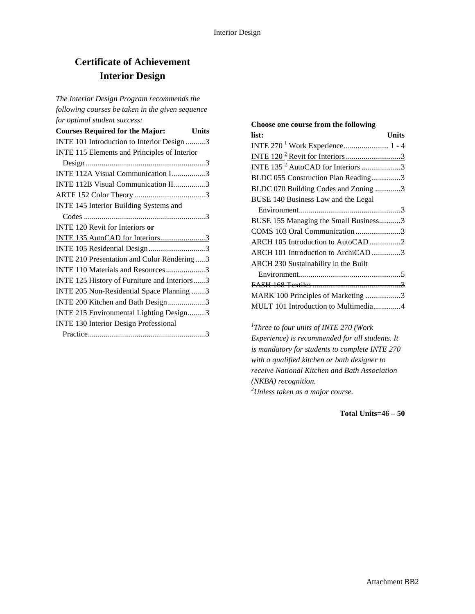## **Certificate of Achievement Interior Design**

*The Interior Design Program recommends the following courses be taken in the given sequence for optimal student success:*

| <b>Courses Required for the Major:</b>       | Units |
|----------------------------------------------|-------|
| INTE 101 Introduction to Interior Design 3   |       |
| INTE 115 Elements and Principles of Interior |       |
|                                              |       |
| INTE 112A Visual Communication I3            |       |
| INTE 112B Visual Communication II3           |       |
|                                              |       |
| INTE 145 Interior Building Systems and       |       |
|                                              |       |
| <b>INTE 120 Revit for Interiors or</b>       |       |
| INTE 135 AutoCAD for Interiors3              |       |
| INTE 105 Residential Design3                 |       |
| INTE 210 Presentation and Color Rendering3   |       |
| INTE 110 Materials and Resources3            |       |
| INTE 125 History of Furniture and Interiors3 |       |
| INTE 205 Non-Residential Space Planning 3    |       |
| INTE 200 Kitchen and Bath Design3            |       |
| INTE 215 Environmental Lighting Design3      |       |
| <b>INTE 130 Interior Design Professional</b> |       |
|                                              |       |

## **Choose one course from the following list: Units** INTE 270 <sup>1</sup> Work Experience....................... 1 - 4 INTE 120 2 Revit for Interiors............................3 INTE  $135^2$  AutoCAD for Interiors ......................3 BLDC 055 Construction Plan Reading...............3 BLDC 070 Building Codes and Zoning .............3 BUSE 140 Business Law and the Legal Environment....................................................3 BUSE 155 Managing the Small Business...........3 COMS 103 Oral Communication .......................3 ARCH 105 Introduction to AutoCAD................2 ARCH 101 Introduction to ArchiCAD...............3 ARCH 230 Sustainability in the Built Environment....................................................5 FASH 168 Textiles.............................................3 MARK 100 Principles of Marketing ..................3 MULT 101 Introduction to Multimedia..............4

*1 Three to four units of INTE 270 (Work Experience) is recommended for all students. It is mandatory for students to complete INTE 270 with a qualified kitchen or bath designer to receive National Kitchen and Bath Association (NKBA) recognition. 2 Unless taken as a major course.* 

**Total Units=46 – 50**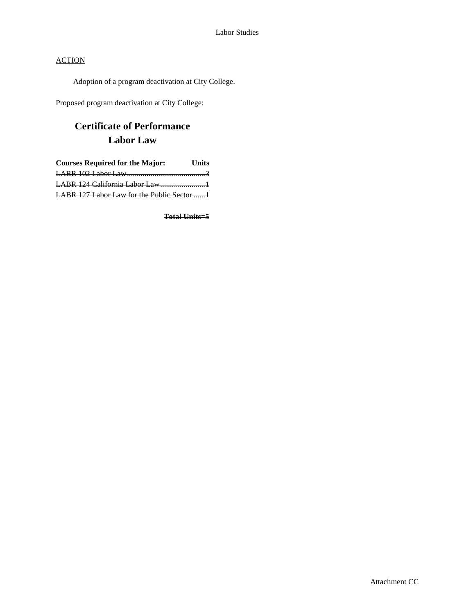Adoption of a program deactivation at City College.

Proposed program deactivation at City College:

# **Certificate of Performance Labor Law**

| <b>Courses Required for the Major:</b> Units |  |
|----------------------------------------------|--|
|                                              |  |
| LABR 124 California Labor Law1               |  |
| LABR 127 Labor Law for the Public Sector 1   |  |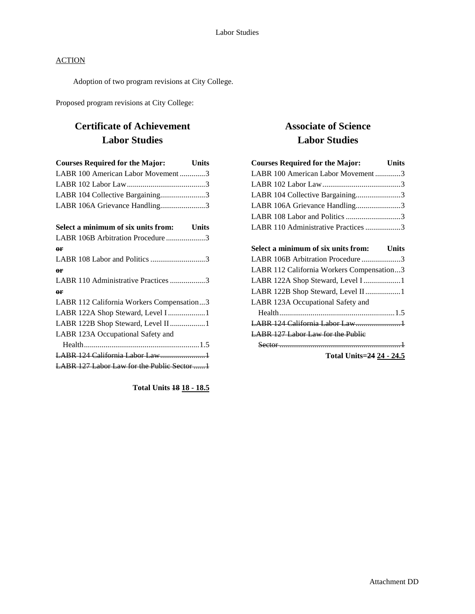Adoption of two program revisions at City College.

Proposed program revisions at City College:

## **Certificate of Achievement Labor Studies**

| <b>Courses Required for the Major:</b>     | <b>Units</b> |
|--------------------------------------------|--------------|
| LABR 100 American Labor Movement3          |              |
|                                            |              |
| LABR 104 Collective Bargaining3            |              |
| LABR 106A Grievance Handling3              |              |
| Select a minimum of six units from:        | <b>Units</b> |
| LABR 106B Arbitration Procedure3           |              |
| $\rho$ r                                   |              |
|                                            |              |
| $\rho$ r                                   |              |
| LABR 110 Administrative Practices 3        |              |
| $\theta$ r                                 |              |
| LABR 112 California Workers Compensation3  |              |
| LABR 122A Shop Steward, Level I 1          |              |
| LABR 122B Shop Steward, Level II1          |              |
| LABR 123A Occupational Safety and          |              |
|                                            |              |
|                                            |              |
| LABR 127 Labor Law for the Public Sector 1 |              |
|                                            |              |

**Total Units 18 18 - 18.5**

## **Associate of Science Labor Studies**

| <b>Courses Required for the Major:</b> Units |  |
|----------------------------------------------|--|
| LABR 100 American Labor Movement3            |  |
|                                              |  |
| LABR 104 Collective Bargaining3              |  |
| LABR 106A Grievance Handling3                |  |
| LABR 108 Labor and Politics 3                |  |
| LABR 110 Administrative Practices 3          |  |
|                                              |  |
| Select a minimum of six units from: Units    |  |
| LABR 106B Arbitration Procedure3             |  |
| LABR 112 California Workers Compensation3    |  |
| LABR 122A Shop Steward, Level I 1            |  |
| LABR 122B Shop Steward, Level II1            |  |
| LABR 123A Occupational Safety and            |  |
|                                              |  |
| LABR 124 California Labor Law1               |  |
| <b>LABR 127 Labor Law for the Public</b>     |  |
|                                              |  |
| <b>Total Units=24 24 - 24.5</b>              |  |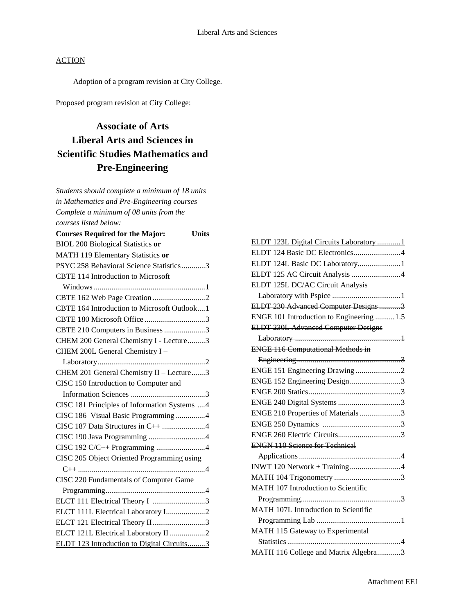Adoption of a program revision at City College.

Proposed program revision at City College:

## **Associate of Arts Liberal Arts and Sciences in Scientific Studies Mathematics and Pre-Engineering**

*Students should complete a minimum of 18 units in Mathematics and Pre-Engineering courses Complete a minimum of 08 units from the courses listed below:* **Courses Required for the Major: Units** BIOL 200 Biological Statistics **or** MATH 119 Elementary Statistics **or** PSYC 258 Behavioral Science Statistics............3 CBTE 114 Introduction to Microsoft Windows.........................................................1 CBTE 162 Web Page Creation ...........................2 CBTE 164 Introduction to Microsoft Outlook....1 CBTE 180 Microsoft Office ...............................3 CBTE 210 Computers in Business.....................3 CHEM 200 General Chemistry I - Lecture.........3 CHEM 200L General Chemistry I – Laboratory.......................................................2 CHEM 201 General Chemistry II – Lecture.......3 CISC 150 Introduction to Computer and Information Sciences ......................................3 CISC 181 Principles of Information Systems ....4 CISC 186 Visual Basic Programming ...............4 CISC 187 Data Structures in C++ ......................4 CISC 190 Java Programming .............................4 CISC 192 C/C++ Programming .........................4 CISC 205 Object Oriented Programming using C++ .................................................................4 CISC 220 Fundamentals of Computer Game Programming...................................................4 ELCT 111 Electrical Theory I ...........................3 ELCT 111L Electrical Laboratory I....................2 ELCT 121 Electrical Theory II...........................3 ELCT 121L Electrical Laboratory II ..................2 ELDT 123 Introduction to Digital Circuits.........3

| ELDT 123L Digital Circuits Laboratory 1    |
|--------------------------------------------|
| ELDT 124 Basic DC Electronics4             |
| ELDT 124L Basic DC Laboratory1             |
| ELDT 125 AC Circuit Analysis 4             |
| ELDT 125L DC/AC Circuit Analysis           |
|                                            |
| ELDT 230 Advanced Computer Designs 3       |
| ENGE 101 Introduction to Engineering 1.5   |
| <b>ELDT 230L Advanced Computer Designs</b> |
|                                            |
| <b>ENGE 116 Computational Methods in</b>   |
|                                            |
| ENGE 151 Engineering Drawing 2             |
| ENGE 152 Engineering Design3               |
|                                            |
|                                            |
| ENGE 210 Properties of Materials3          |
|                                            |
|                                            |
| <b>ENGN 110 Science for Technical</b>      |
|                                            |
|                                            |
|                                            |
| MATH 107 Introduction to Scientific        |
|                                            |
| MATH 107L Introduction to Scientific       |
|                                            |
| MATH 115 Gateway to Experimental           |
|                                            |
| MATH 116 College and Matrix Algebra3       |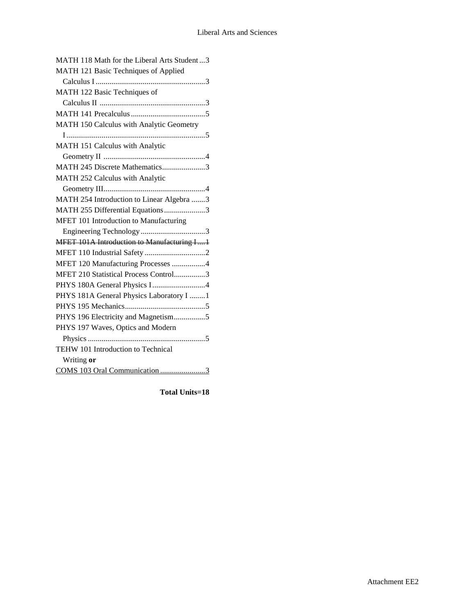| MATH 118 Math for the Liberal Arts Student3 |
|---------------------------------------------|
| MATH 121 Basic Techniques of Applied        |
|                                             |
| MATH 122 Basic Techniques of                |
|                                             |
|                                             |
| MATH 150 Calculus with Analytic Geometry    |
|                                             |
| MATH 151 Calculus with Analytic             |
|                                             |
| MATH 245 Discrete Mathematics3              |
| MATH 252 Calculus with Analytic             |
|                                             |
| MATH 254 Introduction to Linear Algebra 3   |
| MATH 255 Differential Equations3            |
| MFET 101 Introduction to Manufacturing      |
|                                             |
| MFET 101A Introduction to Manufacturing I1  |
|                                             |
| MFET 120 Manufacturing Processes 4          |
| MFET 210 Statistical Process Control3       |
|                                             |
| PHYS 181A General Physics Laboratory I  1   |
|                                             |
| PHYS 196 Electricity and Magnetism5         |
| PHYS 197 Waves, Optics and Modern           |
|                                             |
| TEHW 101 Introduction to Technical          |
| Writing or                                  |
| COMS 103 Oral Communication 3               |